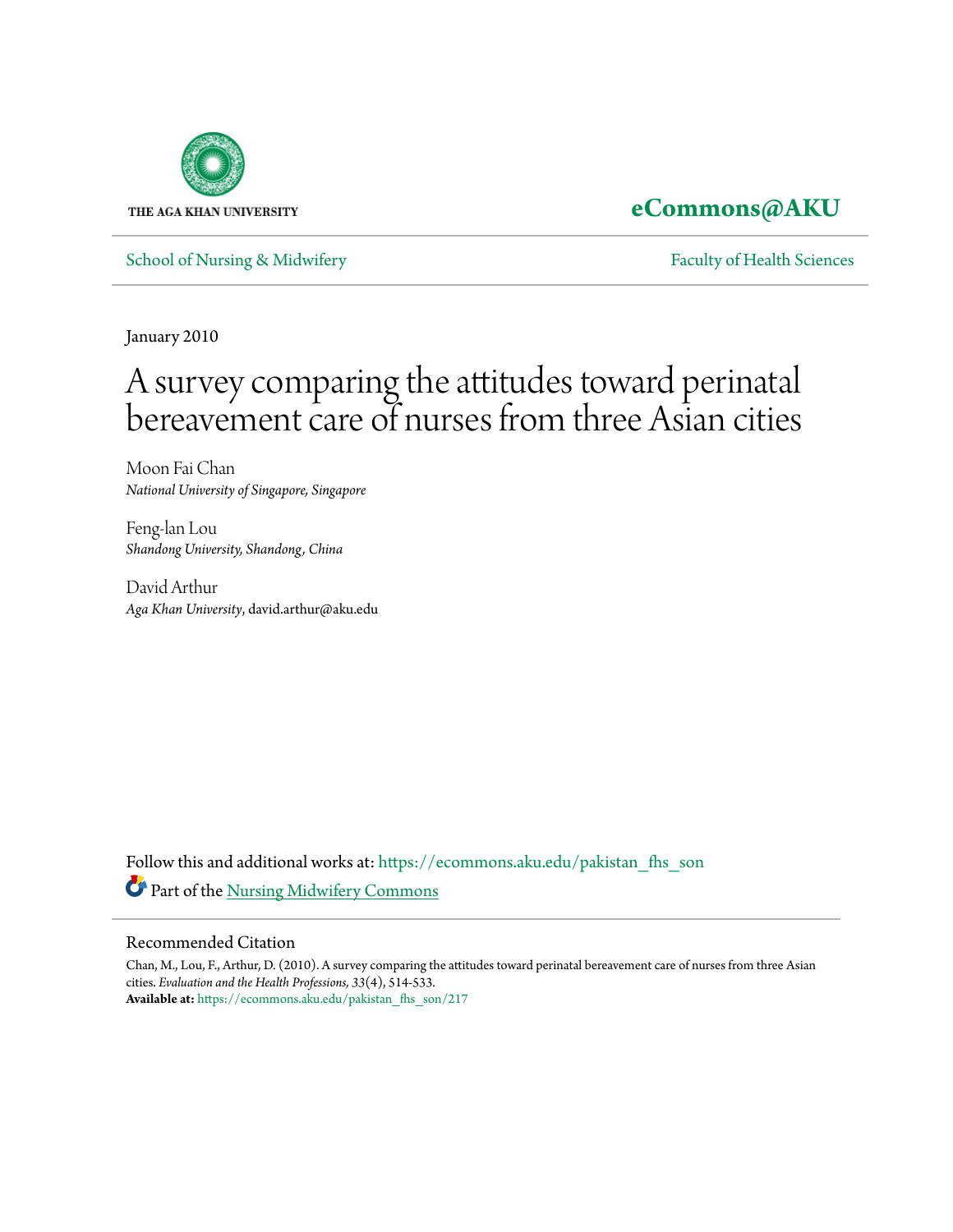

## **[eCommons@AKU](https://ecommons.aku.edu?utm_source=ecommons.aku.edu%2Fpakistan_fhs_son%2F217&utm_medium=PDF&utm_campaign=PDFCoverPages)**

[School of Nursing & Midwifery](https://ecommons.aku.edu/pakistan_fhs_son?utm_source=ecommons.aku.edu%2Fpakistan_fhs_son%2F217&utm_medium=PDF&utm_campaign=PDFCoverPages) **[Faculty of Health Sciences](https://ecommons.aku.edu/pakistan_fhs?utm_source=ecommons.aku.edu%2Fpakistan_fhs_son%2F217&utm_medium=PDF&utm_campaign=PDFCoverPages)** Faculty of Health Sciences

January 2010

# A survey comparing the attitudes toward perinatal bereavement care of nurses from three Asian cities

Moon Fai Chan *National University of Singapore, Singapore*

Feng-lan Lou *Shandong University, Shandong, China*

David Arthur *Aga Khan University*, david.arthur@aku.edu

Follow this and additional works at: [https://ecommons.aku.edu/pakistan\\_fhs\\_son](https://ecommons.aku.edu/pakistan_fhs_son?utm_source=ecommons.aku.edu%2Fpakistan_fhs_son%2F217&utm_medium=PDF&utm_campaign=PDFCoverPages) Part of the [Nursing Midwifery Commons](http://network.bepress.com/hgg/discipline/722?utm_source=ecommons.aku.edu%2Fpakistan_fhs_son%2F217&utm_medium=PDF&utm_campaign=PDFCoverPages)

### Recommended Citation

Chan, M., Lou, F., Arthur, D. (2010). A survey comparing the attitudes toward perinatal bereavement care of nurses from three Asian cities. *Evaluation and the Health Professions, 33*(4), 514-533. **Available at:** [https://ecommons.aku.edu/pakistan\\_fhs\\_son/217](https://ecommons.aku.edu/pakistan_fhs_son/217)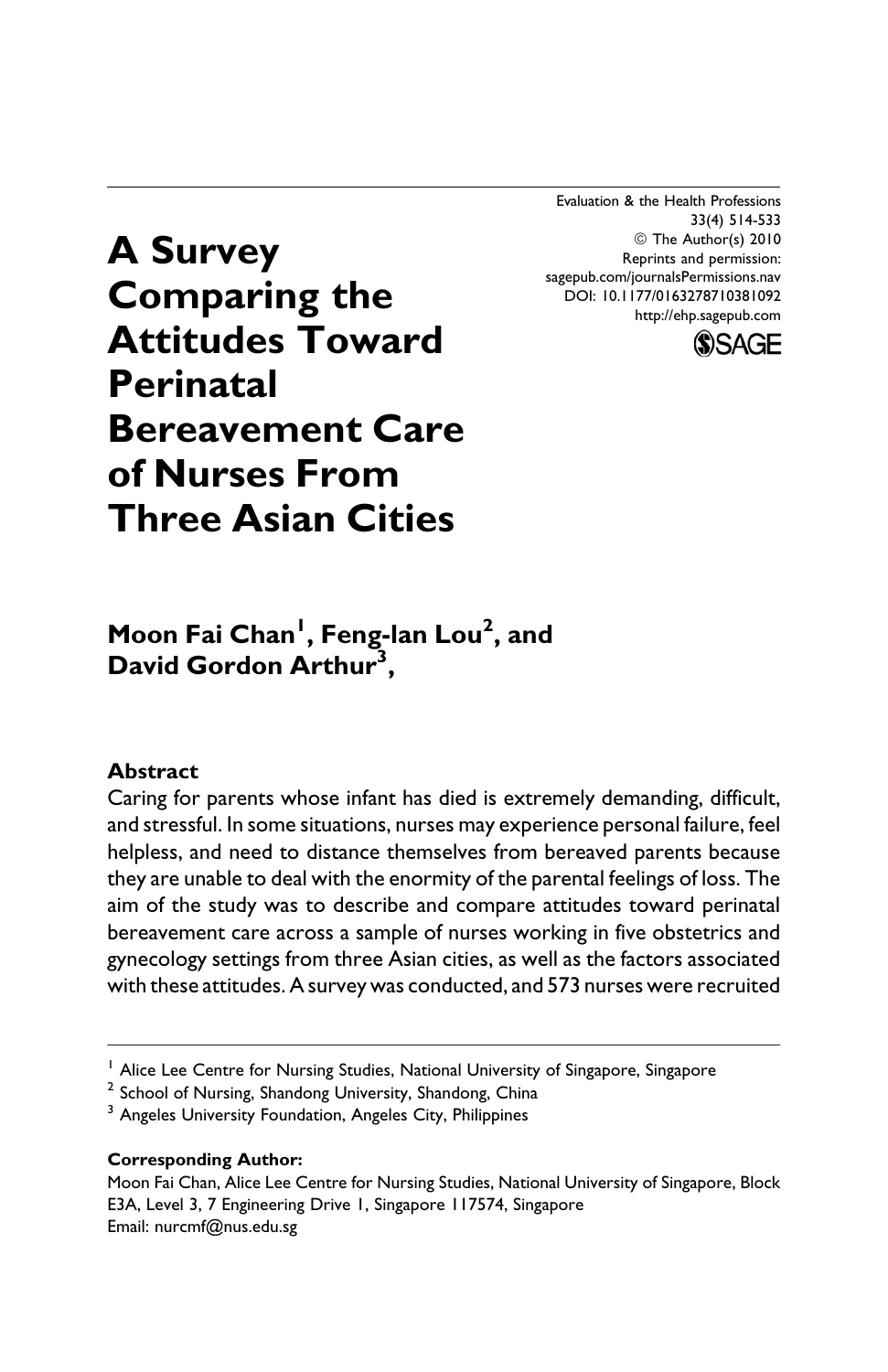Evaluation & the Health Professions 33(4) 514-533 © The Author(s) 2010 Reprints and permission: sagepub.com/journalsPermissions.nav DOI: 10.1177/0163278710381092 http://ehp.sagepub.com



# A Survey Comparing the Attitudes Toward Perinatal Bereavement Care of Nurses From Three Asian Cities

Moon Fai Chan<sup>I</sup>, Feng-lan Lou<sup>2</sup>, and David Gordon Arthur<sup>3</sup>,

### **Abstract**

Caring for parents whose infant has died is extremely demanding, difficult, and stressful. In some situations, nurses may experience personal failure, feel helpless, and need to distance themselves from bereaved parents because they are unable to deal with the enormity of the parental feelings of loss. The aim of the study was to describe and compare attitudes toward perinatal bereavement care across a sample of nurses working in five obstetrics and gynecology settings from three Asian cities, as well as the factors associated with these attitudes. A survey was conducted, and 573 nurses were recruited

#### Corresponding Author:

<sup>&</sup>lt;sup>1</sup> Alice Lee Centre for Nursing Studies, National University of Singapore, Singapore

<sup>&</sup>lt;sup>2</sup> School of Nursing, Shandong University, Shandong, China

<sup>&</sup>lt;sup>3</sup> Angeles University Foundation, Angeles City, Philippines

Moon Fai Chan, Alice Lee Centre for Nursing Studies, National University of Singapore, Block E3A, Level 3, 7 Engineering Drive 1, Singapore 117574, Singapore Email: nurcmf@nus.edu.sg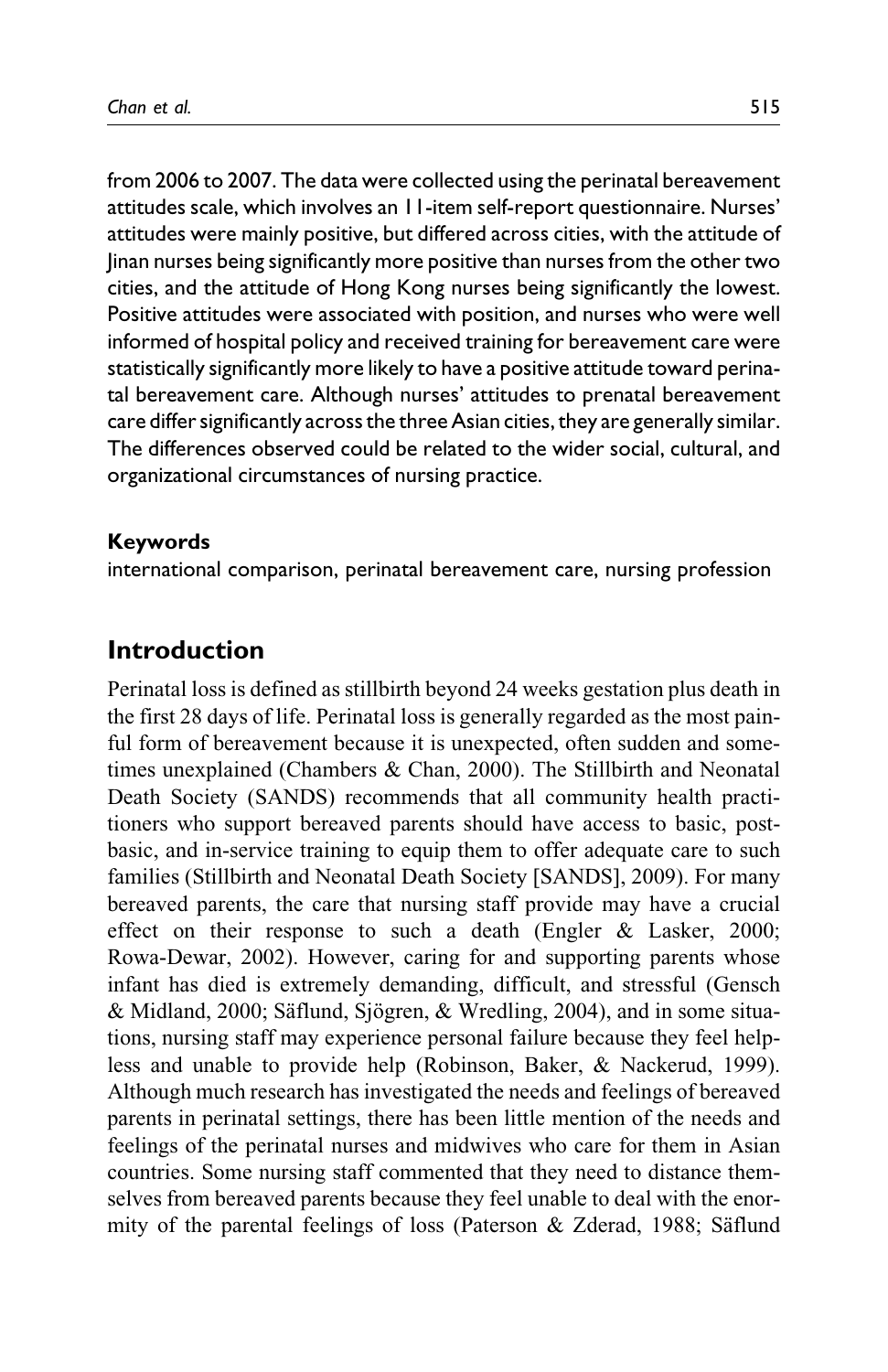from 2006 to 2007. The data were collected using the perinatal bereavement attitudes scale, which involves an 11-item self-report questionnaire. Nurses' attitudes were mainly positive, but differed across cities, with the attitude of Jinan nurses being significantly more positive than nurses from the other two cities, and the attitude of Hong Kong nurses being significantly the lowest. Positive attitudes were associated with position, and nurses who were well informed of hospital policy and received training for bereavement care were statistically significantly more likely to have a positive attitude toward perinatal bereavement care. Although nurses' attitudes to prenatal bereavement care differ significantly across the three Asian cities, they are generally similar. The differences observed could be related to the wider social, cultural, and organizational circumstances of nursing practice.

#### Keywords

international comparison, perinatal bereavement care, nursing profession

### Introduction

Perinatal loss is defined as stillbirth beyond 24 weeks gestation plus death in the first 28 days of life. Perinatal loss is generally regarded as the most painful form of bereavement because it is unexpected, often sudden and sometimes unexplained (Chambers & Chan, 2000). The Stillbirth and Neonatal Death Society (SANDS) recommends that all community health practitioners who support bereaved parents should have access to basic, postbasic, and in-service training to equip them to offer adequate care to such families (Stillbirth and Neonatal Death Society [SANDS], 2009). For many bereaved parents, the care that nursing staff provide may have a crucial effect on their response to such a death (Engler & Lasker, 2000; Rowa-Dewar, 2002). However, caring for and supporting parents whose infant has died is extremely demanding, difficult, and stressful (Gensch & Midland, 2000; Säflund, Sjögren, & Wredling, 2004), and in some situations, nursing staff may experience personal failure because they feel helpless and unable to provide help (Robinson, Baker, & Nackerud, 1999). Although much research has investigated the needs and feelings of bereaved parents in perinatal settings, there has been little mention of the needs and feelings of the perinatal nurses and midwives who care for them in Asian countries. Some nursing staff commented that they need to distance themselves from bereaved parents because they feel unable to deal with the enormity of the parental feelings of loss (Paterson  $\&$  Zderad, 1988; Säflund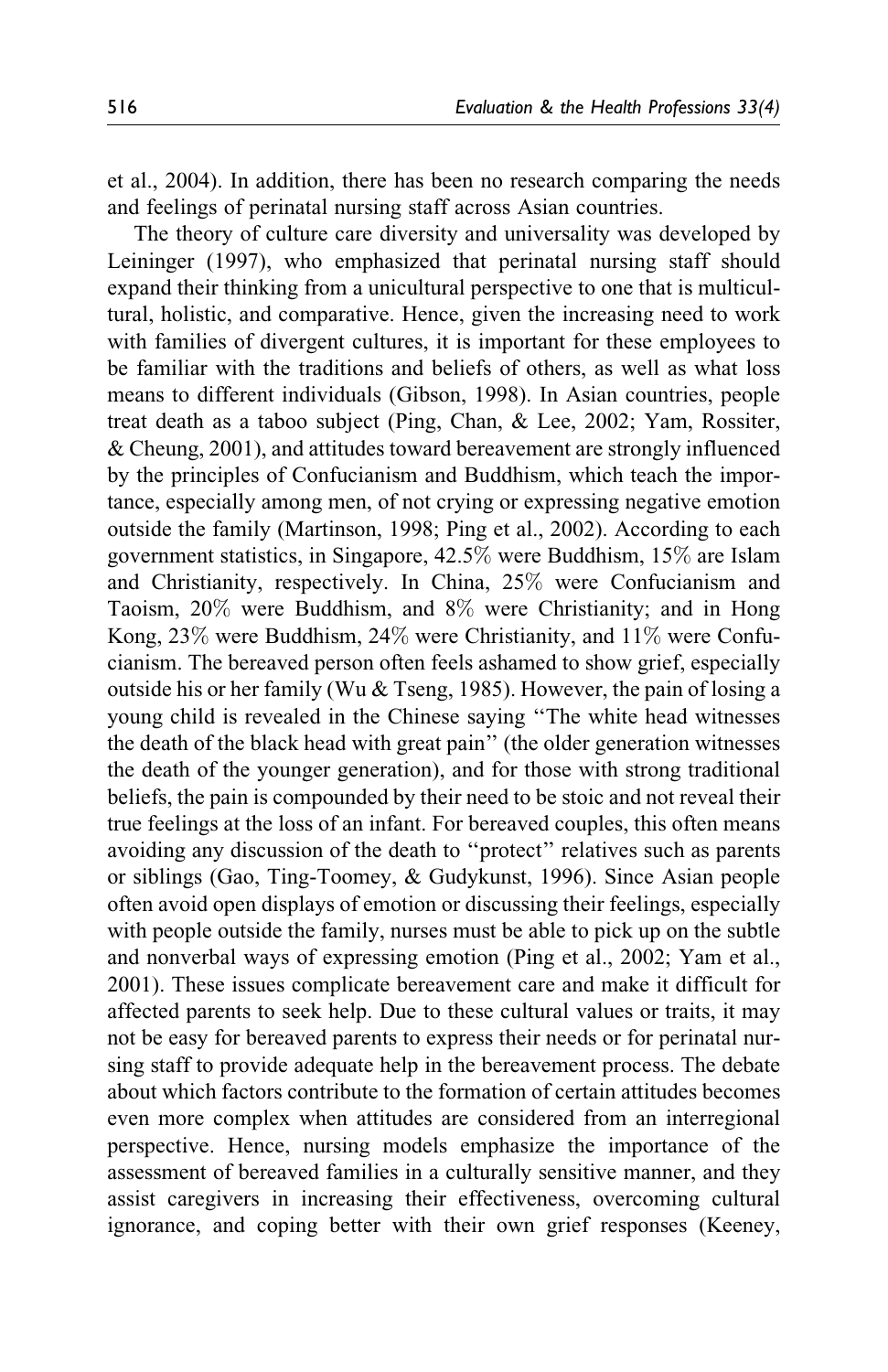et al., 2004). In addition, there has been no research comparing the needs and feelings of perinatal nursing staff across Asian countries.

The theory of culture care diversity and universality was developed by Leininger (1997), who emphasized that perinatal nursing staff should expand their thinking from a unicultural perspective to one that is multicultural, holistic, and comparative. Hence, given the increasing need to work with families of divergent cultures, it is important for these employees to be familiar with the traditions and beliefs of others, as well as what loss means to different individuals (Gibson, 1998). In Asian countries, people treat death as a taboo subject (Ping, Chan, & Lee, 2002; Yam, Rossiter, & Cheung, 2001), and attitudes toward bereavement are strongly influenced by the principles of Confucianism and Buddhism, which teach the importance, especially among men, of not crying or expressing negative emotion outside the family (Martinson, 1998; Ping et al., 2002). According to each government statistics, in Singapore, 42.5% were Buddhism, 15% are Islam and Christianity, respectively. In China, 25% were Confucianism and Taoism, 20% were Buddhism, and 8% were Christianity; and in Hong Kong, 23% were Buddhism, 24% were Christianity, and 11% were Confucianism. The bereaved person often feels ashamed to show grief, especially outside his or her family (Wu & Tseng, 1985). However, the pain of losing a young child is revealed in the Chinese saying ''The white head witnesses the death of the black head with great pain'' (the older generation witnesses the death of the younger generation), and for those with strong traditional beliefs, the pain is compounded by their need to be stoic and not reveal their true feelings at the loss of an infant. For bereaved couples, this often means avoiding any discussion of the death to ''protect'' relatives such as parents or siblings (Gao, Ting-Toomey, & Gudykunst, 1996). Since Asian people often avoid open displays of emotion or discussing their feelings, especially with people outside the family, nurses must be able to pick up on the subtle and nonverbal ways of expressing emotion (Ping et al., 2002; Yam et al., 2001). These issues complicate bereavement care and make it difficult for affected parents to seek help. Due to these cultural values or traits, it may not be easy for bereaved parents to express their needs or for perinatal nursing staff to provide adequate help in the bereavement process. The debate about which factors contribute to the formation of certain attitudes becomes even more complex when attitudes are considered from an interregional perspective. Hence, nursing models emphasize the importance of the assessment of bereaved families in a culturally sensitive manner, and they assist caregivers in increasing their effectiveness, overcoming cultural ignorance, and coping better with their own grief responses (Keeney,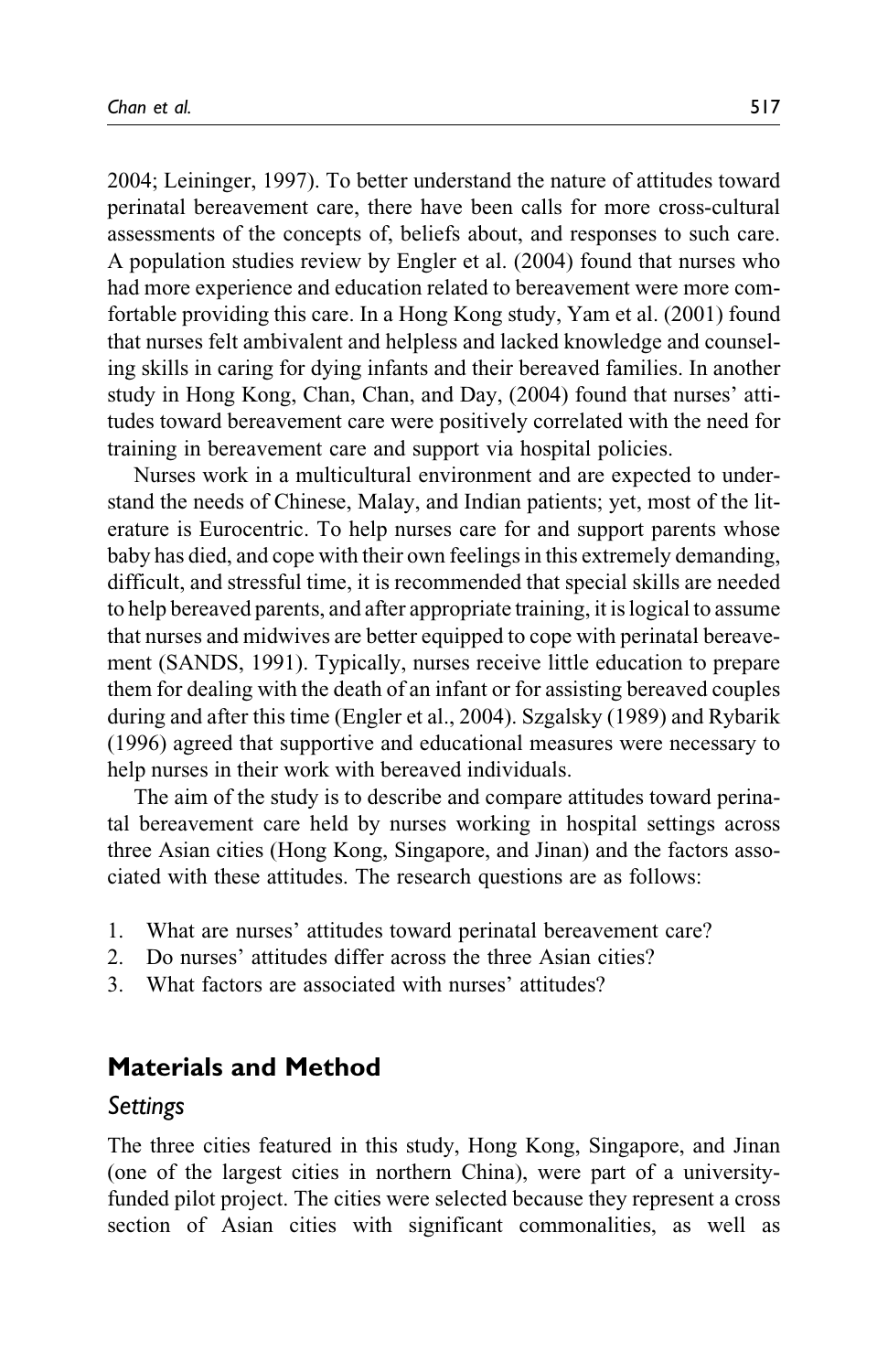2004; Leininger, 1997). To better understand the nature of attitudes toward perinatal bereavement care, there have been calls for more cross-cultural assessments of the concepts of, beliefs about, and responses to such care. A population studies review by Engler et al. (2004) found that nurses who had more experience and education related to bereavement were more comfortable providing this care. In a Hong Kong study, Yam et al. (2001) found that nurses felt ambivalent and helpless and lacked knowledge and counseling skills in caring for dying infants and their bereaved families. In another study in Hong Kong, Chan, Chan, and Day, (2004) found that nurses' attitudes toward bereavement care were positively correlated with the need for training in bereavement care and support via hospital policies.

Nurses work in a multicultural environment and are expected to understand the needs of Chinese, Malay, and Indian patients; yet, most of the literature is Eurocentric. To help nurses care for and support parents whose baby has died, and cope with their own feelings in this extremely demanding, difficult, and stressful time, it is recommended that special skills are needed to help bereaved parents, and after appropriate training, it is logical to assume that nurses and midwives are better equipped to cope with perinatal bereavement (SANDS, 1991). Typically, nurses receive little education to prepare them for dealing with the death of an infant or for assisting bereaved couples during and after this time (Engler et al., 2004). Szgalsky (1989) and Rybarik (1996) agreed that supportive and educational measures were necessary to help nurses in their work with bereaved individuals.

The aim of the study is to describe and compare attitudes toward perinatal bereavement care held by nurses working in hospital settings across three Asian cities (Hong Kong, Singapore, and Jinan) and the factors associated with these attitudes. The research questions are as follows:

- 1. What are nurses' attitudes toward perinatal bereavement care?
- 2. Do nurses' attitudes differ across the three Asian cities?
- 3. What factors are associated with nurses' attitudes?

### Materials and Method

### Settings

The three cities featured in this study, Hong Kong, Singapore, and Jinan (one of the largest cities in northern China), were part of a universityfunded pilot project. The cities were selected because they represent a cross section of Asian cities with significant commonalities, as well as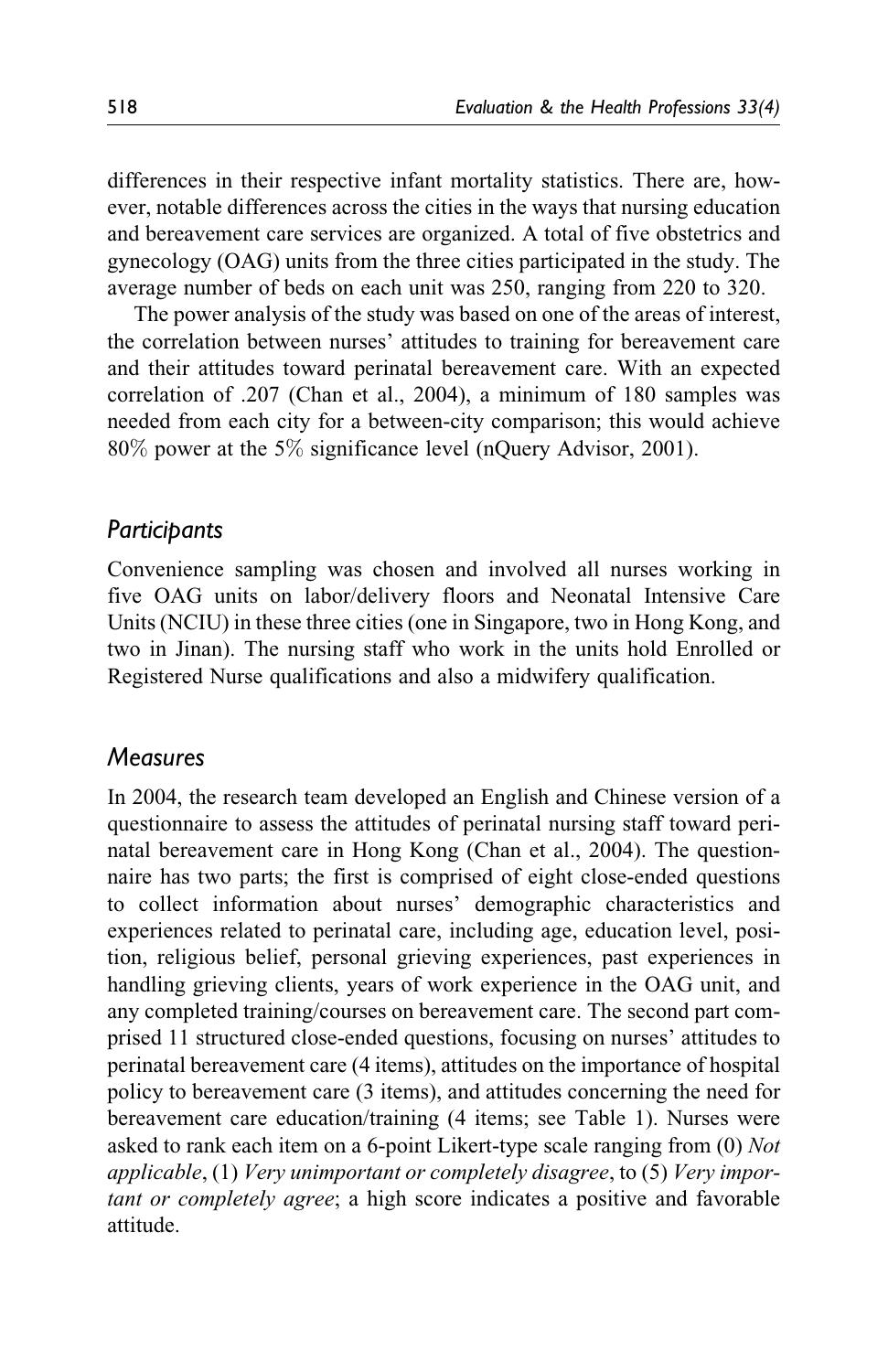differences in their respective infant mortality statistics. There are, however, notable differences across the cities in the ways that nursing education and bereavement care services are organized. A total of five obstetrics and gynecology (OAG) units from the three cities participated in the study. The average number of beds on each unit was 250, ranging from 220 to 320.

The power analysis of the study was based on one of the areas of interest, the correlation between nurses' attitudes to training for bereavement care and their attitudes toward perinatal bereavement care. With an expected correlation of .207 (Chan et al., 2004), a minimum of 180 samples was needed from each city for a between-city comparison; this would achieve 80% power at the 5% significance level (nQuery Advisor, 2001).

### **Participants**

Convenience sampling was chosen and involved all nurses working in five OAG units on labor/delivery floors and Neonatal Intensive Care Units (NCIU) in these three cities (one in Singapore, two in Hong Kong, and two in Jinan). The nursing staff who work in the units hold Enrolled or Registered Nurse qualifications and also a midwifery qualification.

#### Measures

In 2004, the research team developed an English and Chinese version of a questionnaire to assess the attitudes of perinatal nursing staff toward perinatal bereavement care in Hong Kong (Chan et al., 2004). The questionnaire has two parts; the first is comprised of eight close-ended questions to collect information about nurses' demographic characteristics and experiences related to perinatal care, including age, education level, position, religious belief, personal grieving experiences, past experiences in handling grieving clients, years of work experience in the OAG unit, and any completed training/courses on bereavement care. The second part comprised 11 structured close-ended questions, focusing on nurses' attitudes to perinatal bereavement care (4 items), attitudes on the importance of hospital policy to bereavement care (3 items), and attitudes concerning the need for bereavement care education/training (4 items; see Table 1). Nurses were asked to rank each item on a 6-point Likert-type scale ranging from (0) Not applicable, (1) Very unimportant or completely disagree, to (5) Very important or completely agree; a high score indicates a positive and favorable attitude.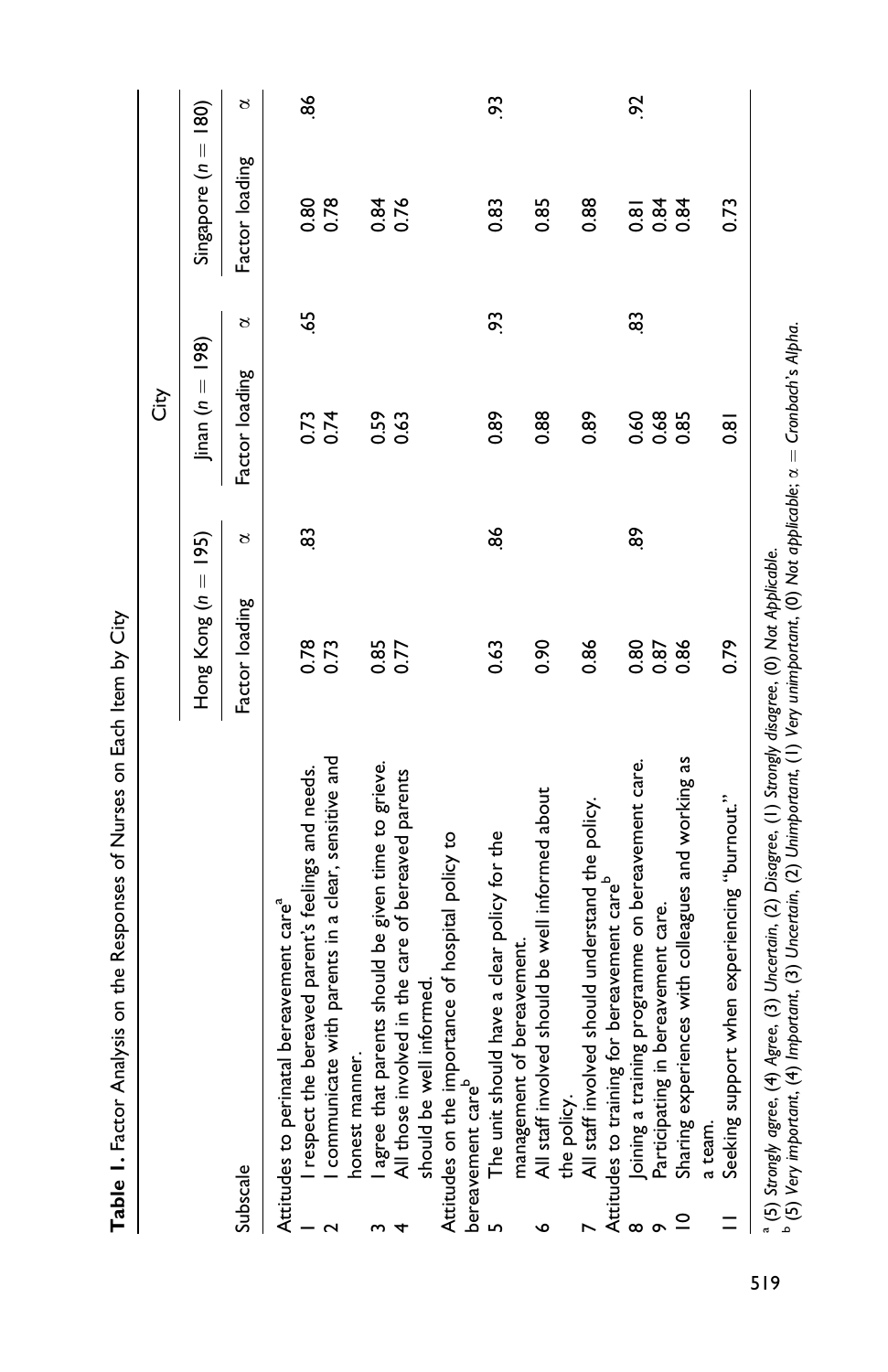| i | )<br> <br>                                                                       |  |
|---|----------------------------------------------------------------------------------|--|
|   |                                                                                  |  |
|   |                                                                                  |  |
|   |                                                                                  |  |
|   |                                                                                  |  |
|   | Ì<br>١                                                                           |  |
|   |                                                                                  |  |
|   |                                                                                  |  |
|   |                                                                                  |  |
|   |                                                                                  |  |
|   |                                                                                  |  |
|   |                                                                                  |  |
|   |                                                                                  |  |
|   |                                                                                  |  |
|   |                                                                                  |  |
|   |                                                                                  |  |
|   |                                                                                  |  |
|   |                                                                                  |  |
|   | l                                                                                |  |
|   | י<br>י                                                                           |  |
|   | ׇ֚֘                                                                              |  |
|   | l                                                                                |  |
|   |                                                                                  |  |
|   | $\frac{1}{2}$                                                                    |  |
|   |                                                                                  |  |
|   | í                                                                                |  |
|   |                                                                                  |  |
|   |                                                                                  |  |
|   |                                                                                  |  |
|   |                                                                                  |  |
|   |                                                                                  |  |
|   |                                                                                  |  |
|   | ֧֧ׅ֧֧֧֧ׅ֧֧֧ׅ֧ׅ֧ׅ֧֧֧ׅ֧֧֧֧֧֧֧֚֚֚֚֚֚֚֚֚֚֚֚֚֚֚֚֚֚֚֚֚֚֚֚֚֚֚֚֚֚֚֝֝֟֓֝֓֝֓֜֟֓֝֓֜֜֜֜֝֬֜֜֝ |  |
|   |                                                                                  |  |
|   |                                                                                  |  |
|   |                                                                                  |  |
|   |                                                                                  |  |
|   |                                                                                  |  |
|   |                                                                                  |  |
|   |                                                                                  |  |
|   |                                                                                  |  |

|             |                                                         |                       |    | ĞÖ                 |    |                         |    |
|-------------|---------------------------------------------------------|-----------------------|----|--------------------|----|-------------------------|----|
|             |                                                         | Hong Kong $(n = 195)$ |    | $jnan (n = 198)$   |    | Singapore ( $n = 180$ ) |    |
| Subscale    |                                                         | Factor loading        | 8  | Factor loading     | 8  | Factor loading          | S  |
|             | Attitudes to perinatal bereavement care <sup>a</sup>    |                       |    |                    |    |                         |    |
|             | respect the bereaved parent's feelings and needs.       | 0.78                  | 33 | 0.73               | 59 | <b>80</b>               | 86 |
|             | communicate with parents in a clear, sensitive and      | 0.73                  |    | 0.74               |    | 0.78                    |    |
|             | honest manner.                                          |                       |    |                    |    |                         |    |
|             | agree that parents should be given time to grieve.      | 0.85                  |    | 0.59               |    | 0.84                    |    |
|             | All those involved in the care of bereaved parents      | 0.77                  |    | 0.63               |    | 0.76                    |    |
|             | should be well informed.                                |                       |    |                    |    |                         |    |
|             | Attitudes on the importance of hospital policy to       |                       |    |                    |    |                         |    |
|             | bereavement care <sup>9</sup>                           |                       |    |                    |    |                         |    |
|             | The unit should have a clear policy for the             | 0.63                  | 86 | 0.89               | Só | <b>83</b>               | S. |
|             | management of bereavement.                              |                       |    |                    |    |                         |    |
|             | All staff involved should be well informed about        | 0.90                  |    | 0.88               |    | 0.85                    |    |
|             | the policy.                                             |                       |    |                    |    |                         |    |
|             | All staff involved should understand the policy.        | 0.86                  |    | 0.89               |    | 0.88                    |    |
|             | Attitudes to training for bereavement care <sup>9</sup> |                       |    |                    |    |                         |    |
| $\infty$    | Joining a training programme on bereavement care.       | $\frac{80}{3}$        | œ. | 0.60               | 83 | $\overline{a}$          | S. |
| ò           | Participating in bereavement care.                      | 0.87                  |    | 0.68               |    | 0.84                    |    |
| $\subseteq$ | Sharing experiences with colleagues and working as      | 0.86                  |    | 0.85               |    | 0.84                    |    |
|             | a team.                                                 |                       |    |                    |    |                         |    |
|             | Seeking support when experiencing "burnout."            | 0.79                  |    | $\bar{\mathbf{g}}$ |    | 0.73                    |    |
|             |                                                         |                       |    |                    |    |                         |    |

(5) Strongly agree, (4) Agree, (3) Uncertain, (2) Disagree, (1) Strongly disagree, (0) Not Applicable.

a a ° (5) Very important, (4) Important, (3) Uncertain, (2) Unimportant, (1) Very unimportant, (0) Not applicable;  $\alpha =$  Cronbach's Alpha. 519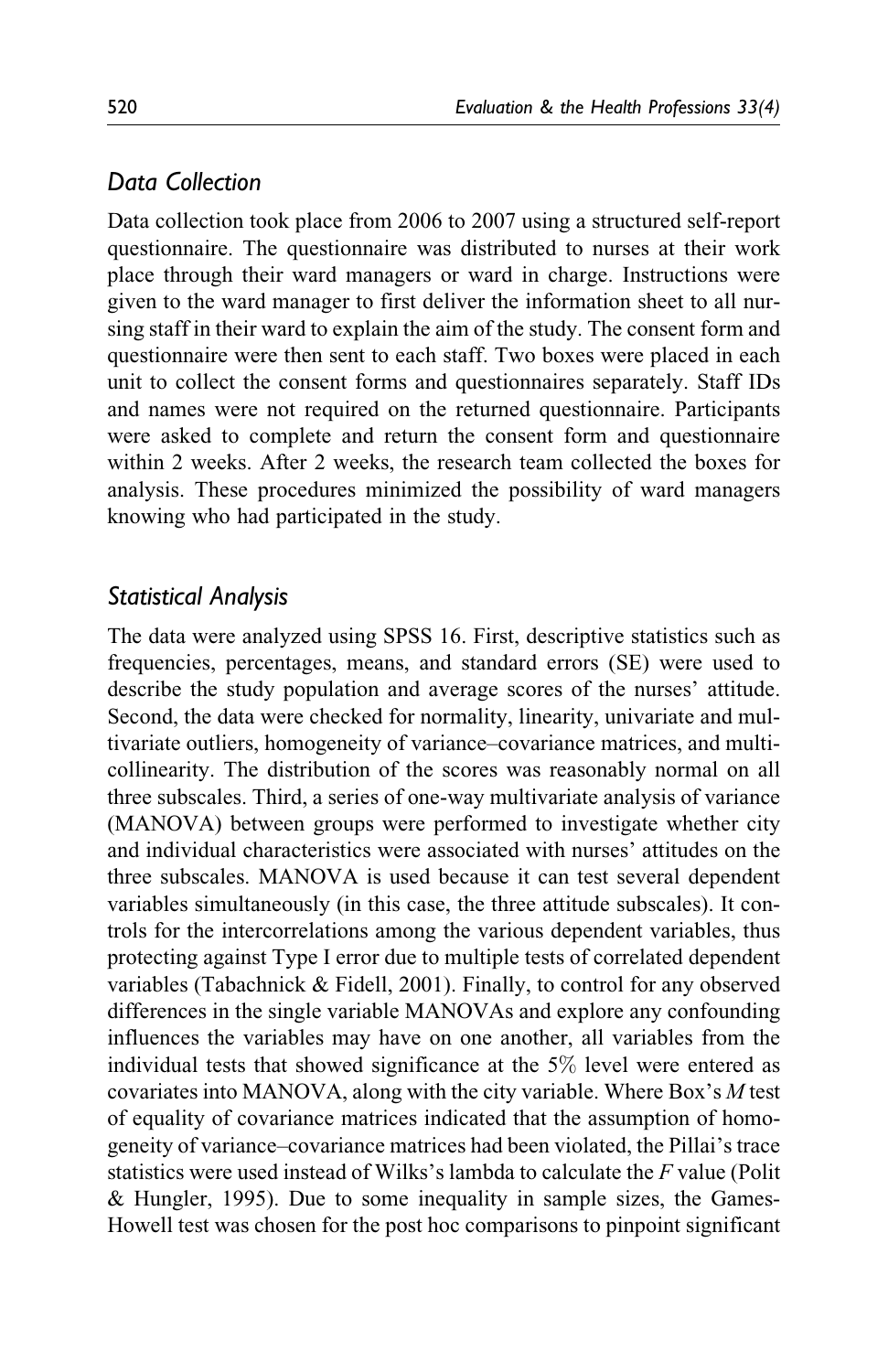### Data Collection

Data collection took place from 2006 to 2007 using a structured self-report questionnaire. The questionnaire was distributed to nurses at their work place through their ward managers or ward in charge. Instructions were given to the ward manager to first deliver the information sheet to all nursing staff in their ward to explain the aim of the study. The consent form and questionnaire were then sent to each staff. Two boxes were placed in each unit to collect the consent forms and questionnaires separately. Staff IDs and names were not required on the returned questionnaire. Participants were asked to complete and return the consent form and questionnaire within 2 weeks. After 2 weeks, the research team collected the boxes for analysis. These procedures minimized the possibility of ward managers knowing who had participated in the study.

### Statistical Analysis

The data were analyzed using SPSS 16. First, descriptive statistics such as frequencies, percentages, means, and standard errors (SE) were used to describe the study population and average scores of the nurses' attitude. Second, the data were checked for normality, linearity, univariate and multivariate outliers, homogeneity of variance–covariance matrices, and multicollinearity. The distribution of the scores was reasonably normal on all three subscales. Third, a series of one-way multivariate analysis of variance (MANOVA) between groups were performed to investigate whether city and individual characteristics were associated with nurses' attitudes on the three subscales. MANOVA is used because it can test several dependent variables simultaneously (in this case, the three attitude subscales). It controls for the intercorrelations among the various dependent variables, thus protecting against Type I error due to multiple tests of correlated dependent variables (Tabachnick & Fidell, 2001). Finally, to control for any observed differences in the single variable MANOVAs and explore any confounding influences the variables may have on one another, all variables from the individual tests that showed significance at the 5% level were entered as covariates into MANOVA, along with the city variable. Where Box's M test of equality of covariance matrices indicated that the assumption of homogeneity of variance–covariance matrices had been violated, the Pillai's trace statistics were used instead of Wilks's lambda to calculate the F value (Polit & Hungler, 1995). Due to some inequality in sample sizes, the Games-Howell test was chosen for the post hoc comparisons to pinpoint significant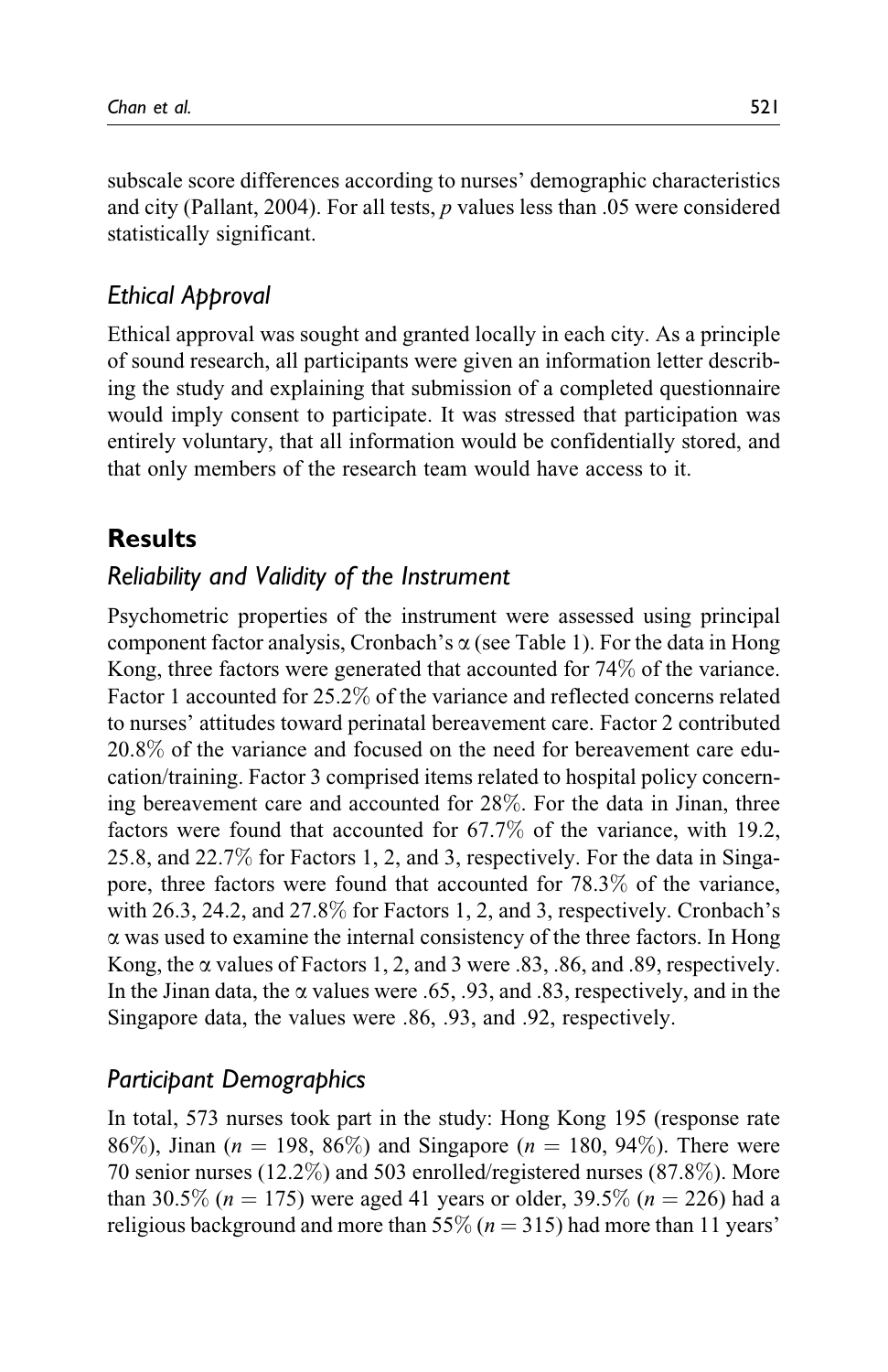subscale score differences according to nurses' demographic characteristics and city (Pallant, 2004). For all tests, p values less than .05 were considered statistically significant.

### Ethical Approval

Ethical approval was sought and granted locally in each city. As a principle of sound research, all participants were given an information letter describing the study and explaining that submission of a completed questionnaire would imply consent to participate. It was stressed that participation was entirely voluntary, that all information would be confidentially stored, and that only members of the research team would have access to it.

### Results

### Reliability and Validity of the Instrument

Psychometric properties of the instrument were assessed using principal component factor analysis, Cronbach's  $\alpha$  (see Table 1). For the data in Hong Kong, three factors were generated that accounted for 74% of the variance. Factor 1 accounted for 25.2% of the variance and reflected concerns related to nurses' attitudes toward perinatal bereavement care. Factor 2 contributed 20.8% of the variance and focused on the need for bereavement care education/training. Factor 3 comprised items related to hospital policy concerning bereavement care and accounted for 28%. For the data in Jinan, three factors were found that accounted for 67.7% of the variance, with 19.2, 25.8, and 22.7% for Factors 1, 2, and 3, respectively. For the data in Singapore, three factors were found that accounted for 78.3% of the variance, with 26.3, 24.2, and 27.8% for Factors 1, 2, and 3, respectively. Cronbach's  $\alpha$  was used to examine the internal consistency of the three factors. In Hong Kong, the  $\alpha$  values of Factors 1, 2, and 3 were .83, .86, and .89, respectively. In the Jinan data, the  $\alpha$  values were .65, .93, and .83, respectively, and in the Singapore data, the values were .86, .93, and .92, respectively.

### Participant Demographics

In total, 573 nurses took part in the study: Hong Kong 195 (response rate 86%), Jinan ( $n = 198, 86\%$ ) and Singapore ( $n = 180, 94\%$ ). There were 70 senior nurses (12.2%) and 503 enrolled/registered nurses (87.8%). More than 30.5% ( $n = 175$ ) were aged 41 years or older, 39.5% ( $n = 226$ ) had a religious background and more than 55% ( $n = 315$ ) had more than 11 years'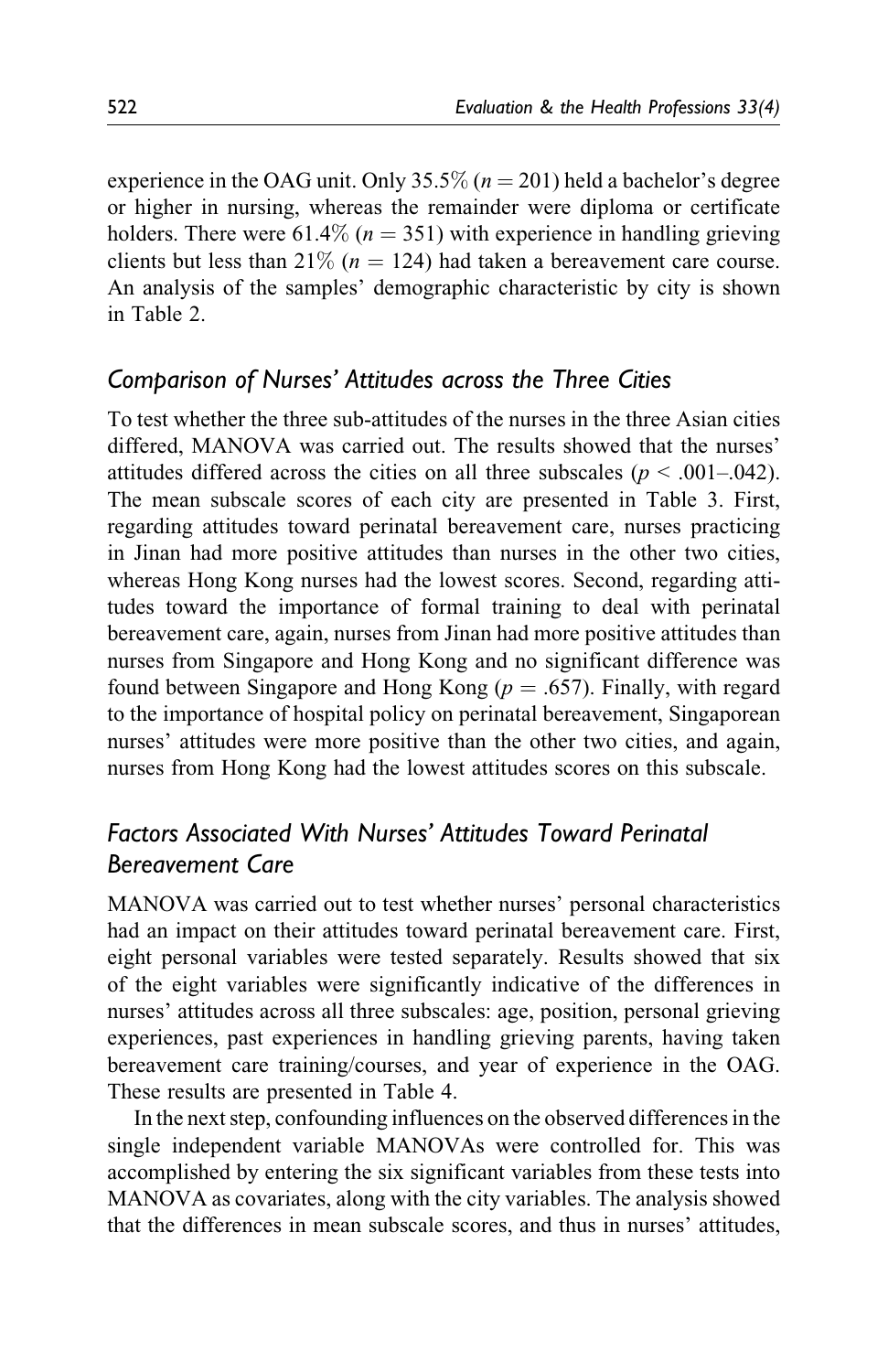experience in the OAG unit. Only 35.5% ( $n = 201$ ) held a bachelor's degree or higher in nursing, whereas the remainder were diploma or certificate holders. There were 61.4% ( $n = 351$ ) with experience in handling grieving clients but less than 21% ( $n = 124$ ) had taken a bereavement care course. An analysis of the samples' demographic characteristic by city is shown in Table 2.

### Comparison of Nurses' Attitudes across the Three Cities

To test whether the three sub-attitudes of the nurses in the three Asian cities differed, MANOVA was carried out. The results showed that the nurses' attitudes differed across the cities on all three subscales ( $p < .001-.042$ ). The mean subscale scores of each city are presented in Table 3. First, regarding attitudes toward perinatal bereavement care, nurses practicing in Jinan had more positive attitudes than nurses in the other two cities, whereas Hong Kong nurses had the lowest scores. Second, regarding attitudes toward the importance of formal training to deal with perinatal bereavement care, again, nurses from Jinan had more positive attitudes than nurses from Singapore and Hong Kong and no significant difference was found between Singapore and Hong Kong ( $p = .657$ ). Finally, with regard to the importance of hospital policy on perinatal bereavement, Singaporean nurses' attitudes were more positive than the other two cities, and again, nurses from Hong Kong had the lowest attitudes scores on this subscale.

### Factors Associated With Nurses' Attitudes Toward Perinatal Bereavement Care

MANOVA was carried out to test whether nurses' personal characteristics had an impact on their attitudes toward perinatal bereavement care. First, eight personal variables were tested separately. Results showed that six of the eight variables were significantly indicative of the differences in nurses' attitudes across all three subscales: age, position, personal grieving experiences, past experiences in handling grieving parents, having taken bereavement care training/courses, and year of experience in the OAG. These results are presented in Table 4.

In the next step, confounding influences on the observed differences in the single independent variable MANOVAs were controlled for. This was accomplished by entering the six significant variables from these tests into MANOVA as covariates, along with the city variables. The analysis showed that the differences in mean subscale scores, and thus in nurses' attitudes,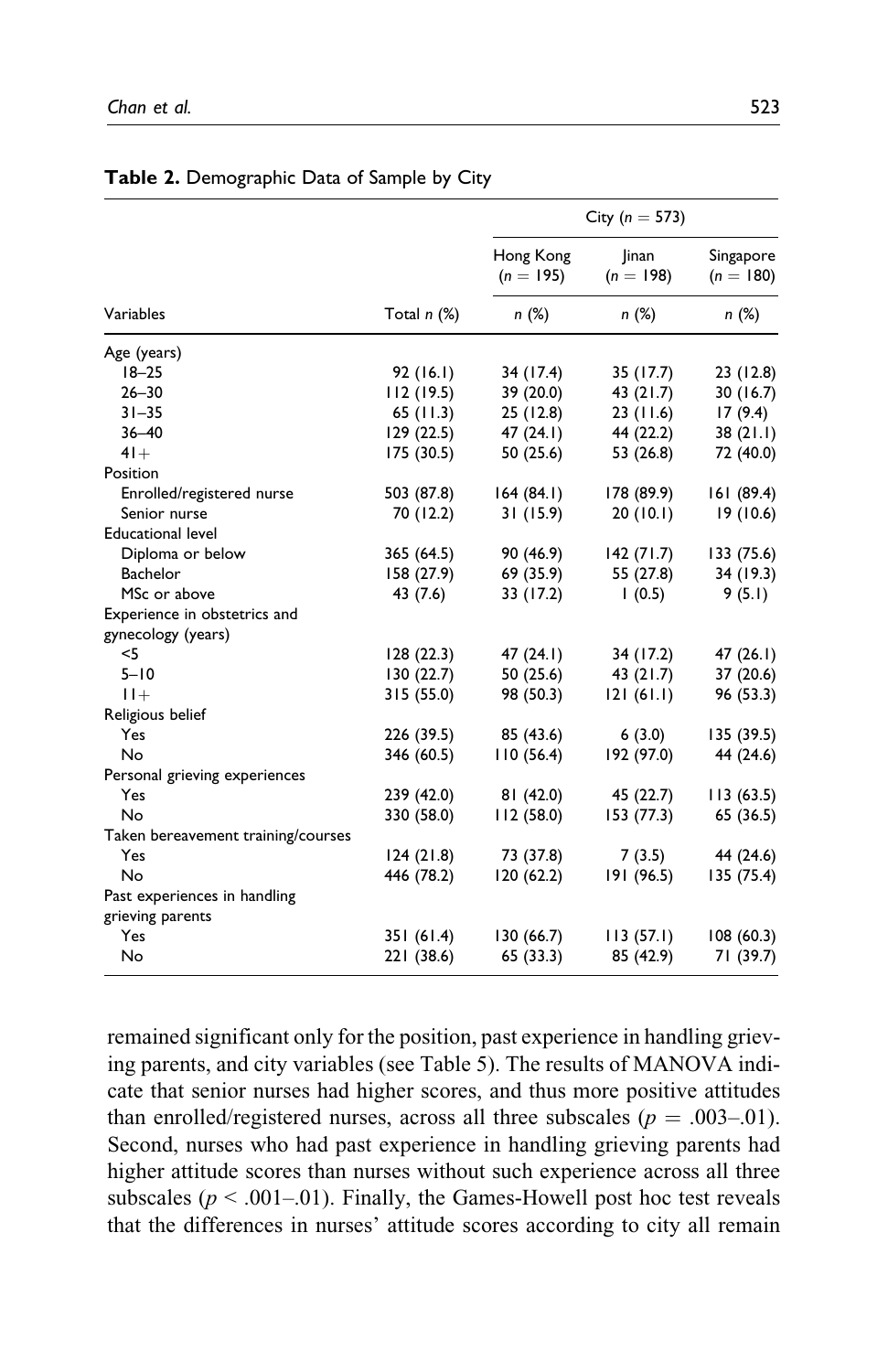|                                    |                  |                          | City ( $n = 573$ )   |                          |
|------------------------------------|------------------|--------------------------|----------------------|--------------------------|
|                                    |                  | Hong Kong<br>$(n = 195)$ | linan<br>$(n = 198)$ | Singapore<br>$(n = 180)$ |
| Variables                          | Total $n$ $(\%)$ | n(%)                     | n (%)                | n (%)                    |
| Age (years)                        |                  |                          |                      |                          |
| $18 - 25$                          | 92 (16.1)        | 34 (17.4)                | 35 (17.7)            | 23 (12.8)                |
| $26 - 30$                          | 112(19.5)        | 39 (20.0)                | 43 (21.7)            | 30 (16.7)                |
| $31 - 35$                          | 65(11.3)         | 25 (12.8)                | 23(11.6)             | 17(9.4)                  |
| $36 - 40$                          | 129(22.5)        | 47 (24.1)                | 44 (22.2)            | 38 (21.1)                |
| $41+$                              | 175 (30.5)       | 50 (25.6)                | 53 (26.8)            | 72 (40.0)                |
| Position                           |                  |                          |                      |                          |
| Enrolled/registered nurse          | 503 (87.8)       | 164(84.1)                | 178 (89.9)           | 161(89.4)                |
| Senior nurse                       | 70 (12.2)        | 31(15.9)                 | 20(10.1)             | 19(10.6)                 |
| <b>Educational level</b>           |                  |                          |                      |                          |
| Diploma or below                   | 365 (64.5)       | 90 (46.9)                | 142(71.7)            | 133 (75.6)               |
| Bachelor                           | 158 (27.9)       | 69 (35.9)                | 55 (27.8)            | 34 (19.3)                |
| MSc or above                       | 43 (7.6)         | 33 (17.2)                | 1(0.5)               | 9(5.1)                   |
| Experience in obstetrics and       |                  |                          |                      |                          |
| gynecology (years)                 |                  |                          |                      |                          |
| $<$ 5                              | 128(22.3)        | 47 (24.1)                | 34 (17.2)            | 47(26.1)                 |
| $5 - 10$                           | 130 (22.7)       | 50 (25.6)                | 43 $(21.7)$          | 37 (20.6)                |
| $11+$                              | 315 (55.0)       | 98 (50.3)                | 121(61.1)            | 96 (53.3)                |
| Religious belief                   |                  |                          |                      |                          |
| Yes                                | 226 (39.5)       | 85 (43.6)                | 6(3.0)               | 135 (39.5)               |
| No                                 | 346 (60.5)       | 110(56.4)                | 192 (97.0)           | 44 (24.6)                |
| Personal grieving experiences      |                  |                          |                      |                          |
| Yes                                | 239 (42.0)       | 81 (42.0)                | 45 (22.7)            | 113(63.5)                |
| No                                 | 330 (58.0)       | 112(58.0)                | 153 (77.3)           | 65 (36.5)                |
| Taken bereavement training/courses |                  |                          |                      |                          |
| Yes                                | 124(21.8)        | 73 (37.8)                | 7(3.5)               | 44 (24.6)                |
| No                                 | 446 (78.2)       | 120(62.2)                | 191(96.5)            | 135 (75.4)               |
| Past experiences in handling       |                  |                          |                      |                          |
| grieving parents                   |                  |                          |                      |                          |
| Yes                                | 351(61.4)        | 130(66.7)                | 113(57.1)            | 108(60.3)                |
| No                                 | 221 (38.6)       | 65 (33.3)                | 85 (42.9)            | 71 (39.7)                |

#### Table 2. Demographic Data of Sample by City

remained significant only for the position, past experience in handling grieving parents, and city variables (see Table 5). The results of MANOVA indicate that senior nurses had higher scores, and thus more positive attitudes than enrolled/registered nurses, across all three subscales ( $p = .003-01$ ). Second, nurses who had past experience in handling grieving parents had higher attitude scores than nurses without such experience across all three subscales ( $p < .001-.01$ ). Finally, the Games-Howell post hoc test reveals that the differences in nurses' attitude scores according to city all remain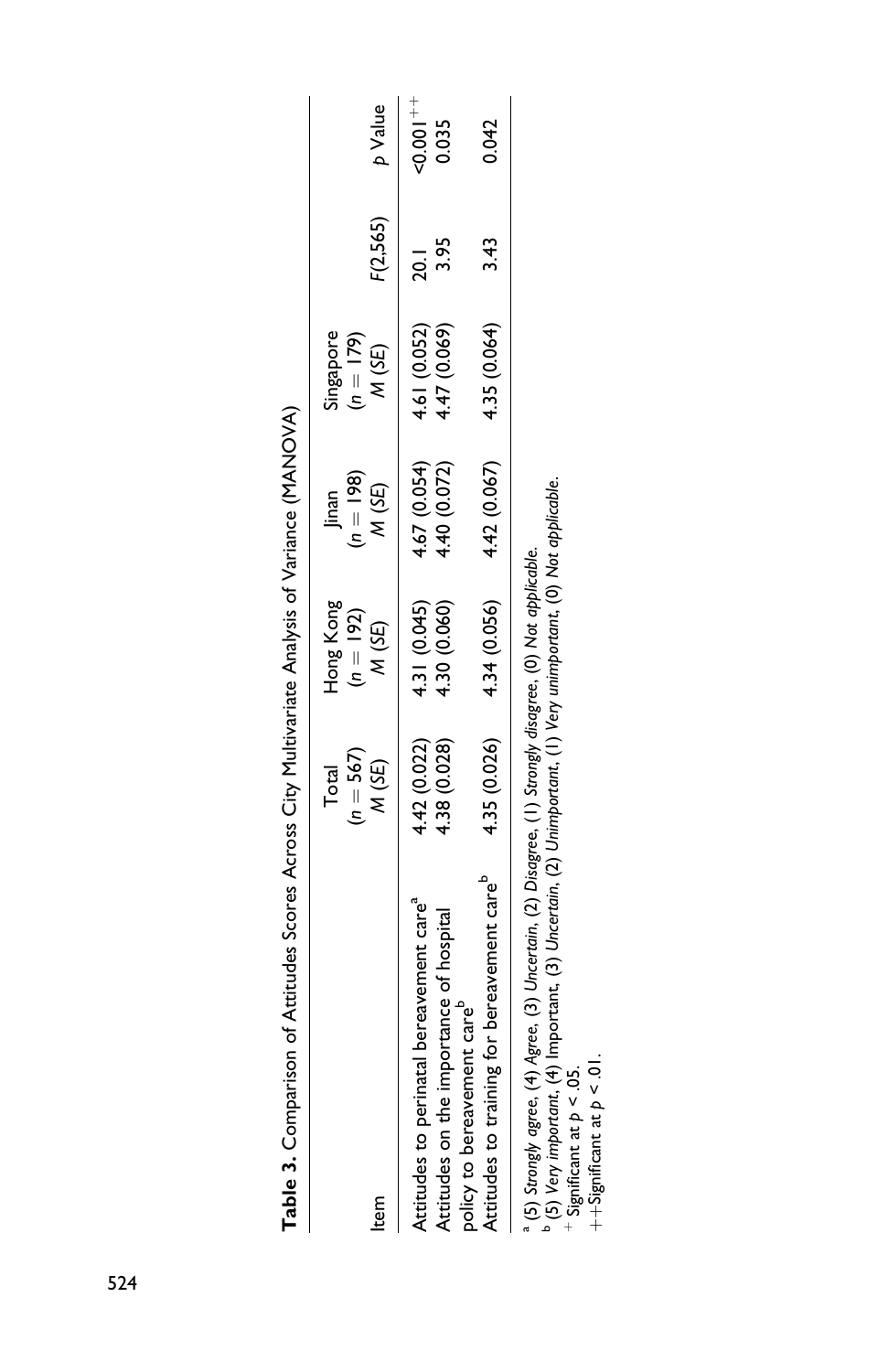| ltem                                                                                                                                                                                                                        | $n = 567$<br>M (SE)<br>$\mathsf{T}\circ\mathsf{r}\mathsf{a}$ | Hong Kong<br>$n = 192$<br>M (SE)          | $n = 198$<br>M (SE)<br>Jinan | Singapore<br>$(n = 179)$<br>M (SE) |      | $F(2,565)$ p Value   |
|-----------------------------------------------------------------------------------------------------------------------------------------------------------------------------------------------------------------------------|--------------------------------------------------------------|-------------------------------------------|------------------------------|------------------------------------|------|----------------------|
| Attitudes to perinatal bereavement care <sup>4</sup><br>Attitudes on the importance of hospital                                                                                                                             | 4.42 (0.022)<br>4.38 (0.028)                                 | 4.31 (0.045)<br>4.30 (0.060)              | 4.67 (0.054)<br>4.40 (0.072) | 4.61 (0.052)<br>4.47 (0.069)       | 3.95 | $-40.001 +$<br>0.035 |
| Attitudes to training for bereavement care <sup>b</sup><br>policy to bereavement care <sup>9</sup>                                                                                                                          | 4.35 (0.026)                                                 | $4.34(0.056)$ $4.42(0.067)$ $4.35(0.064)$ |                              |                                    | 3.43 | 0.042                |
| ここには、ここには、このことに、このことに、このことに、このことには、このことには、このことには、このことには、このことには、このことには、このことには、このことには、このことには、このことには、この<br><sup>a</sup> (5) Strongly agree, (4) Agree, (3) Uncertain, (2) Disagree, (1) Strongly disagree, (0) Not applicable. |                                                              |                                           |                              |                                    |      |                      |

Table 3. Comparison of Attitudes Scores Across City Multivariate Analysis of Variance (MANOVA) Table 3. Comparison of Attitudes Scores Across City Multivariate Analysis of Variance (MANOVA)

bþ(5) Very important, (4) Important, (3) Uncertain, (2) Unimportant, (1) Very unimportant, (0) Not applicable.

 $^+$  Significant at  $p < .05$ .

 $+$ -Significant at  $p < 0$  l.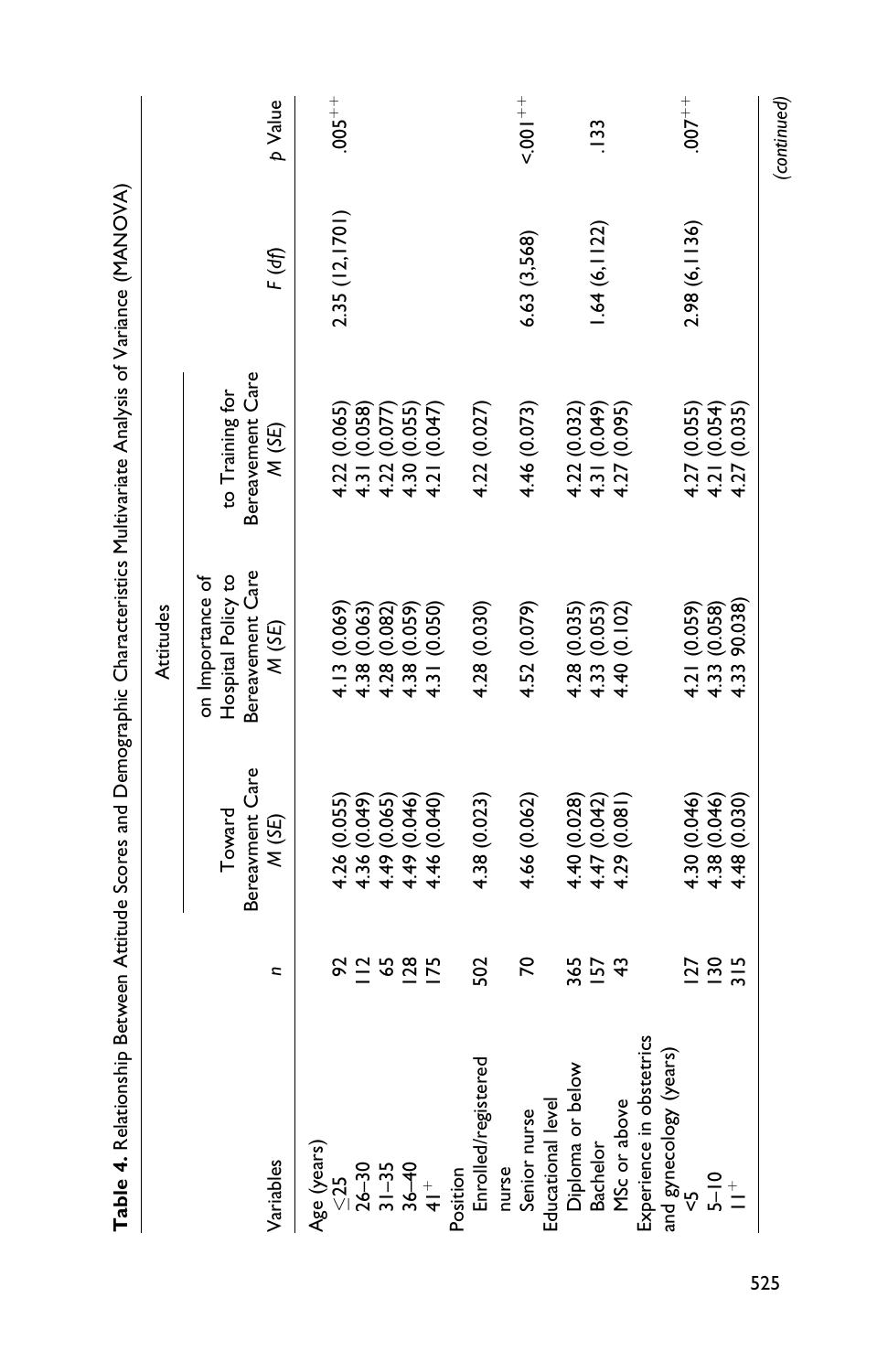|                                     |                 |                                                              | Attitudes                                                            |                                                    |                 |                                                                                    |
|-------------------------------------|-----------------|--------------------------------------------------------------|----------------------------------------------------------------------|----------------------------------------------------|-----------------|------------------------------------------------------------------------------------|
| Variables                           | 2               | Bereavment Care<br>Toward<br>M (SE)                          | Bereavement Care<br>on Importance of<br>Hospital Policy to<br>M (SE) | Bereavement Care<br>to Training for<br>M (SE)      | F (df)          | p Value                                                                            |
| Age (years)<br>$\leq 25$            |                 | 4.26 (0.055)                                                 | 4.13 (0.069)                                                         | 4.22 (0.065)                                       | 2.35 (12, 1701) | $.005^{++}$                                                                        |
| $26 - 30$<br>$31 - 35$<br>$36 - 40$ | $\frac{2}{6}$   | 4.36 (0.049)<br>4.49 (0.065)<br>4.49 (0.046)<br>4.46 (0.040) | 4.38 (0.063)<br>4.28 (0.082)                                         | $4.31$ (0.058)<br>$4.22$ (0.077)<br>$4.30$ (0.055) |                 |                                                                                    |
|                                     | 28              |                                                              | 4.38 (0.059)                                                         |                                                    |                 |                                                                                    |
| $rac{+}{4}$                         | $\overline{15}$ |                                                              | 4.31 (0.050)                                                         | 4.21 (0.047)                                       |                 |                                                                                    |
| Position                            |                 |                                                              |                                                                      |                                                    |                 |                                                                                    |
| Enrolled/registered                 | 502             | 4.38 (0.023)                                                 | 4.28 (0.030)                                                         | 4.22 (0.027)                                       |                 |                                                                                    |
| nurse                               |                 |                                                              |                                                                      |                                                    |                 |                                                                                    |
| Senior nurse                        | 5               | 4.66 (0.062)                                                 | 4.52 (0.079)                                                         | 4.46 (0.073)                                       | 6.63 (3,568)    | $+$<br>$+$<br>$-$<br>$-$<br>$-$<br>$-$<br><br><br><br><br><br><br><br><br><br><br> |
| Educational level                   |                 |                                                              |                                                                      |                                                    |                 |                                                                                    |
| Diploma or below                    | 365             | 4.40 (0.028)                                                 | 4.28 (0.035)                                                         | 4.22 (0.032)                                       |                 |                                                                                    |
| <b>Bachelor</b>                     | 57              | 4.47 (0.042)                                                 | 4.33 (0.053)                                                         | 4.31 (0.049)                                       | .64(6,1122)     | 133                                                                                |
| MSc or above                        | $\ddot{+}$      | $(180.0)$ $674$                                              | 4.40(0.102)                                                          | 4.27 (0.095)                                       |                 |                                                                                    |
| Experience in obstetrics            |                 |                                                              |                                                                      |                                                    |                 |                                                                                    |
| and gynecology (years)              |                 |                                                              |                                                                      |                                                    |                 |                                                                                    |
|                                     | 27              | 4.30 (0.046)                                                 | 4.21 (0.059)                                                         | 4.27 (0.055)                                       | 2.98 (6, 1136)  | $.007$ <sup>++</sup>                                                               |
| $5 - 10$                            | $\frac{8}{1}$   | 4.38 (0.046)                                                 | 4.33 (0.058)                                                         | 4.21 (0.054)                                       |                 |                                                                                    |
| $\frac{+}{-}$                       | $\frac{5}{3}$   | 4.48 (0.030)                                                 | 4.33 90.038)                                                         | 4.27 (0.035)                                       |                 |                                                                                    |
|                                     |                 |                                                              |                                                                      |                                                    |                 | (continued)                                                                        |

Table 4. Relationship Between Attitude Scores and Demographic Characteristics Multivariate Analysis of Variance (MANOVA) Table 4. Relationship Between Attitude Scores and Demographic Characteristics Multivariate Analysis of Variance (MANOVA)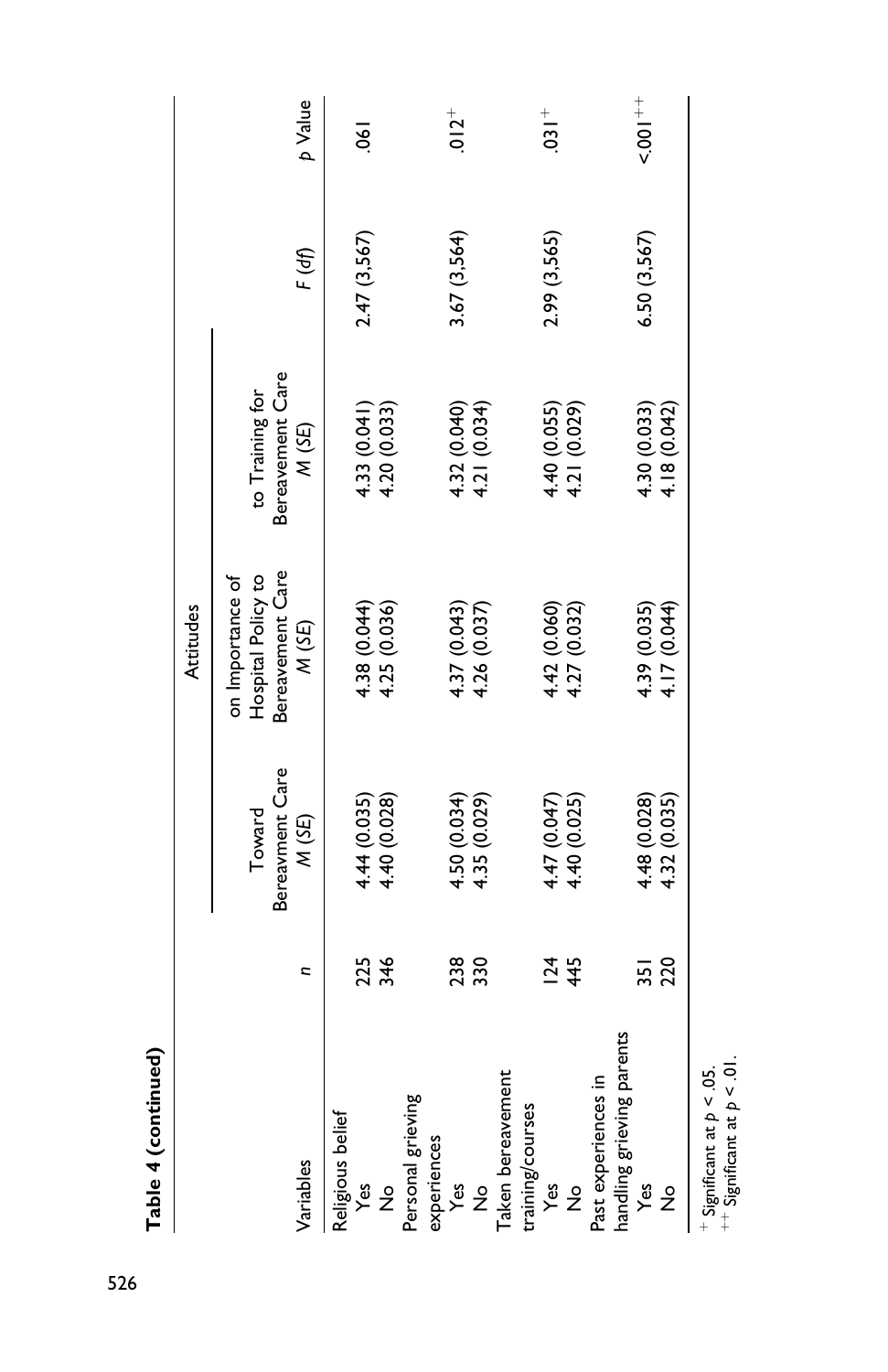| ī |
|---|

|                                  |                          |                                     | Attitudes                                                            |                                               |              |                              |
|----------------------------------|--------------------------|-------------------------------------|----------------------------------------------------------------------|-----------------------------------------------|--------------|------------------------------|
| Variables                        | $\overline{\phantom{0}}$ | Bereavment Care<br>Toward<br>M (SE) | Bereavement Care<br>Hospital Policy to<br>on Importance of<br>M (SE) | Bereavement Care<br>to Training for<br>M (SE) | F (df)       | p Value                      |
| Religious belief<br>Yes          | 225                      | 4.44 (0.035)                        | 4.38 (0.044)                                                         | 4.33 (0.041)                                  | 2.47(3.567)  | કૅ                           |
| $\frac{1}{2}$                    | 346                      | 4.40 (0.028)                        | 4.25 (0.036)                                                         | 4.20 (0.033)                                  |              |                              |
| Personal grieving<br>experiences |                          |                                     |                                                                      |                                               |              |                              |
| Yes                              | 238                      | 4.50 (0.034)                        | 4.37 (0.043)                                                         | 4.32 (0.040)                                  | 3.67 (3,564) | $rac{1}{2}$                  |
| $\frac{6}{5}$                    | 330                      | 4.35 (0.029)                        | 4.26 (0.037)                                                         | 4.21 (0.034)                                  |              |                              |
| Taken bereavement                |                          |                                     |                                                                      |                                               |              |                              |
| training/courses                 |                          |                                     |                                                                      |                                               |              |                              |
| Yes                              | $\overline{24}$          | 4.47 (0.047)                        |                                                                      | 4.40 (0.055)                                  | 2.99 (3,565) | $-160$                       |
| ە<br>2                           | 445                      | 4.40 (0.025)                        | 4.42 (0.060)<br>4.27 (0.032)                                         | 4.21 (0.029)                                  |              |                              |
| Past experiences in              |                          |                                     |                                                                      |                                               |              |                              |
| handling grieving parents        |                          |                                     |                                                                      |                                               |              |                              |
| Yes                              | 351                      | 4.48 (0.028)                        | 4.39 (0.035)                                                         | 4.30 (0.033)                                  | 6.50(3.567)  | $-1$<br>$-1$<br>$-1$<br>$-1$ |
| $\frac{1}{2}$                    | 220                      | 4.32 (0.035)                        | 4.17 (0.044)                                                         | 4.18 (0.042)                                  |              |                              |
|                                  |                          |                                     |                                                                      |                                               |              |                              |

 $+$  Significant at  $p < .05$ .

<sup>+</sup> Significant at  $p < .05$ .<br>++ Significant at  $p < .01$ .  $^{++}$  Significant at  $p < .01$ .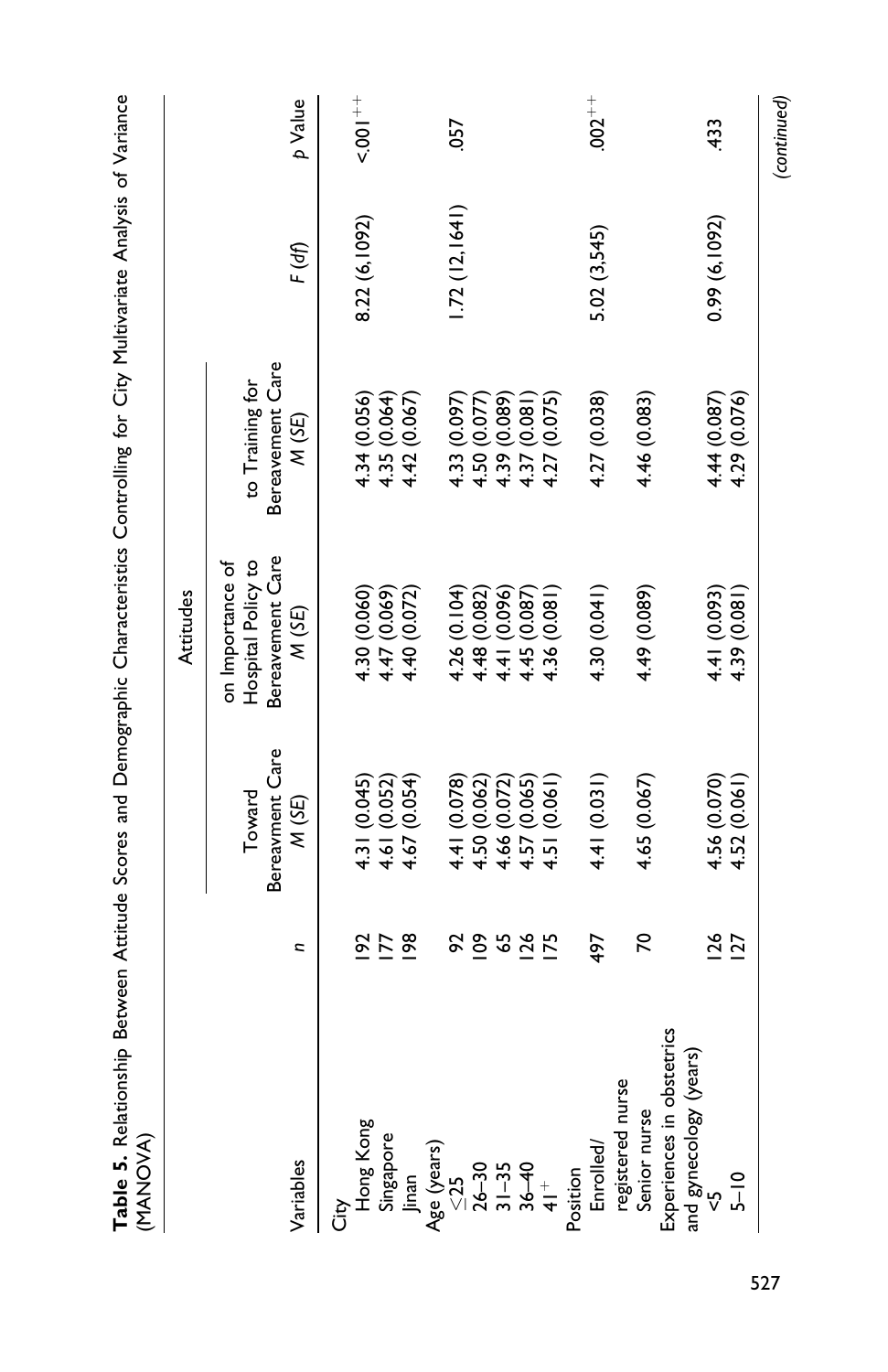| (MANOVA)                         |                      |                                     | Attitudes                                                            |                                               |                |             |
|----------------------------------|----------------------|-------------------------------------|----------------------------------------------------------------------|-----------------------------------------------|----------------|-------------|
| Variables                        | Ξ                    | Bereavment Care<br>Toward<br>M (SE) | Bereavement Care<br>Hospital Policy to<br>on Importance of<br>M (SE) | Bereavement Care<br>to Training for<br>M (SE) | F (df)         | p Value     |
| Hong Kong<br>نج<br>ت             | 2                    | 4.31 (0.045)                        | 4.30 (0.060)                                                         |                                               | 8.22 (6, 1092) | $-100 +$    |
| Singapore<br>Jinan               | $\frac{8}{2}$<br>ΙJ. | 4.67 (0.054)<br>4.61 (0.052)        | 4.47 (0.069)<br>4.40 (0.072)                                         | 4.34 (0.056)<br>4.35 (0.064)<br>4.42 (0.067)  |                |             |
| Age (years)<br>$\leq 25$         | 55                   | 4.41 (0.078)                        | 4.26 (0.104)                                                         | 4.33 (0.097)                                  | 1.72(12, 1641) | 057         |
| $26 - 30$                        |                      | 4.50 (0.062)                        | 4.48 (0.082)                                                         |                                               |                |             |
| $31 - 35$<br>$36 - 40$           | 8987                 | 4.66 (0.072)<br>4.57 (0.065)        | 4.41 (0.096)<br>4.45(0.087)                                          | 4.50 (0.077)<br>4.39 (0.089)<br>4.37 (0.081)  |                |             |
| $rac{+}{+}$                      |                      | 4.51 (0.061)                        | 4.36 (0.081)                                                         | (0.075)<br>4.27                               |                |             |
| Enrolled/<br>Position            | 497                  | 4.41(0.031)                         | 4.30(0.041)                                                          | 4.27 (0.038)                                  | 5.02 (3,545)   | $.002^{++}$ |
| registered nurse<br>Senior nurse | 50                   | 4.65 (0.067)                        | 4.49 (0.089)                                                         | 4.46 (0.083)                                  |                |             |
| Experiences in obstetrics        |                      |                                     |                                                                      |                                               |                |             |
| and gynecology (years)           |                      |                                     |                                                                      |                                               |                |             |
| 4                                | $\frac{26}{2}$       | 4.56 (0.070)                        | 4.41 (0.093)                                                         | 4.44 (0.087)                                  | 0.99 (6, 1092) | .433        |
| $5 - 10$                         | $\overline{27}$      | 4.52 (0.061)                        | 4.39 (0.081                                                          | 4.29 (0.076)                                  |                |             |
|                                  |                      |                                     |                                                                      |                                               |                | (continued) |

Table 5. Relationship Between Attitude Scores and Demographic Characteristics Controlling for City Multivariate Analysis of Variance Table 5. Relationship Between Attitude Scores and Demographic Characteristics Controlling for City Multivariate Analysis of Variance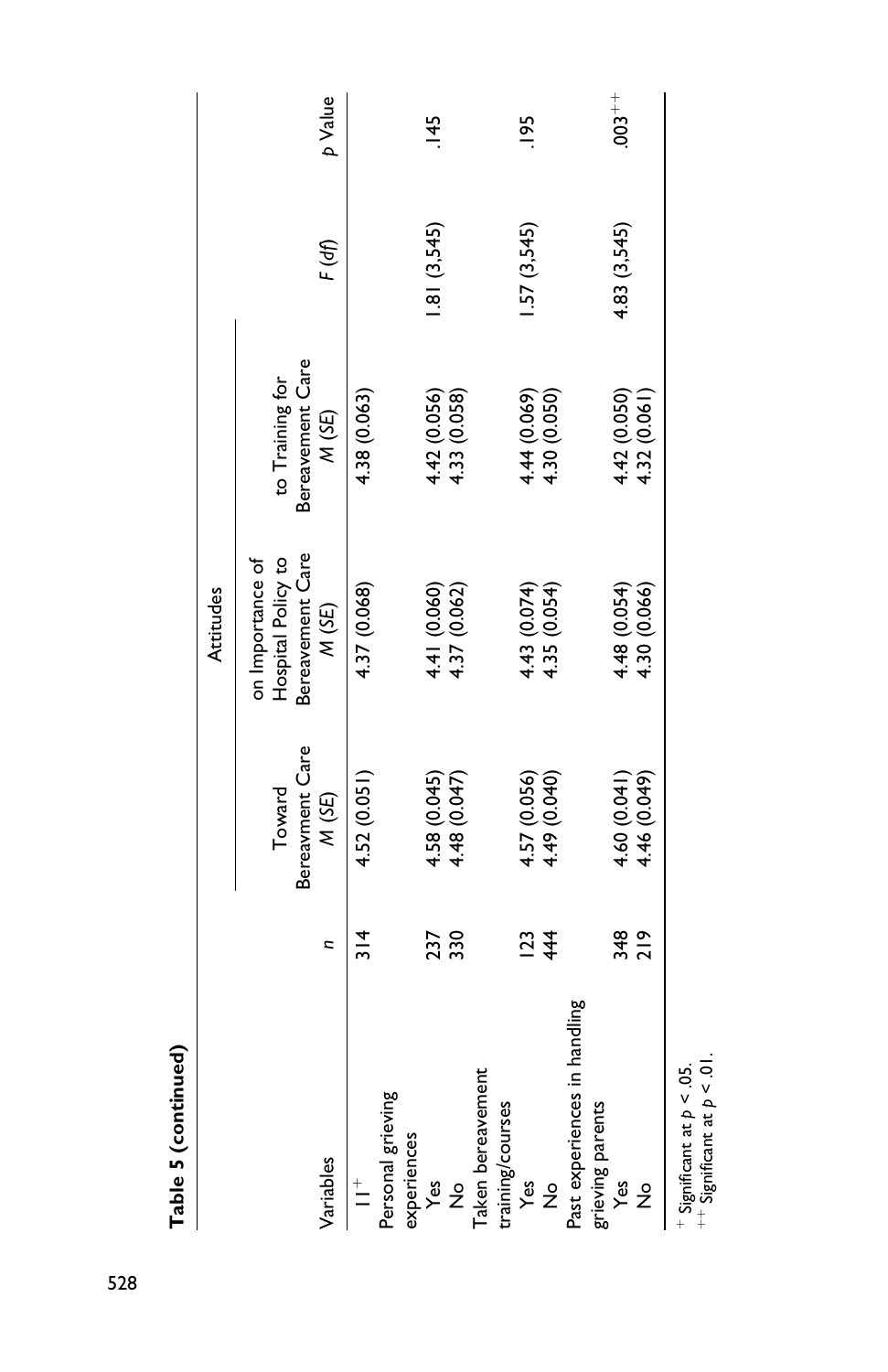|                              |               |                                     | Attitudes                                                           |                                               |              |               |
|------------------------------|---------------|-------------------------------------|---------------------------------------------------------------------|-----------------------------------------------|--------------|---------------|
| Variables                    |               | Bereavment Care<br>Toward<br>M (SE) | Bereavement Care<br>Hospital Policy to<br>on Importance of<br>M(SE) | Bereavement Care<br>to Training for<br>M (SE) | F (df)       | p Value       |
|                              | $\frac{4}{3}$ | 4.52(0.051)                         | 4.37 (0.068)                                                        | 4.38 (0.063)                                  |              |               |
| Personal grieving            |               |                                     |                                                                     |                                               |              |               |
| experiences                  |               |                                     |                                                                     |                                               |              |               |
| Yes                          |               | 4.58 (0.045)                        |                                                                     | 4.42 (0.056)                                  | 1.81(3,545)  | $-145$        |
| ž                            | 237<br>330    | 4.48 (0.047)                        | 4.41 (0.060)<br>4.37 (0.062)                                        | 4.33 (0.058)                                  |              |               |
| Taken bereavement            |               |                                     |                                                                     |                                               |              |               |
| training/courses             |               |                                     |                                                                     |                                               |              |               |
| Yes                          | 23            | 4.57 (0.056)                        | 4.43 (0.074)                                                        | 4.44 (0.069)                                  | 1.57(3,545)  | $\frac{5}{6}$ |
| ž                            | 444           | 4.49 (0.040)                        | 4.35 (0.054)                                                        | 4.30 (0.050)                                  |              |               |
| Past experiences in handling |               |                                     |                                                                     |                                               |              |               |
| grieving parents             |               |                                     |                                                                     |                                               |              |               |
| Yes                          | $348$<br>219  | 4.60 (0.041)                        | 4.48 (0.054)                                                        | 4.42 (0.050)                                  | 4.83 (3,545) | $003^{++}$    |
| ž                            |               | 4.46 (0.049)                        | 4.30 (0.066)                                                        | 4.32 (0.061)                                  |              |               |
| ່<br>$\ddot{\dot{}}$         |               |                                     |                                                                     |                                               |              |               |

Table 5 (continued) Table 5 (continued)

+ Significant at  $p < 0.5$ .<br>++ Significant at  $p < .01$ .  $^+$  Significant at  $p < .05$ .  $^{++}$  Significant at  $p < .01$ .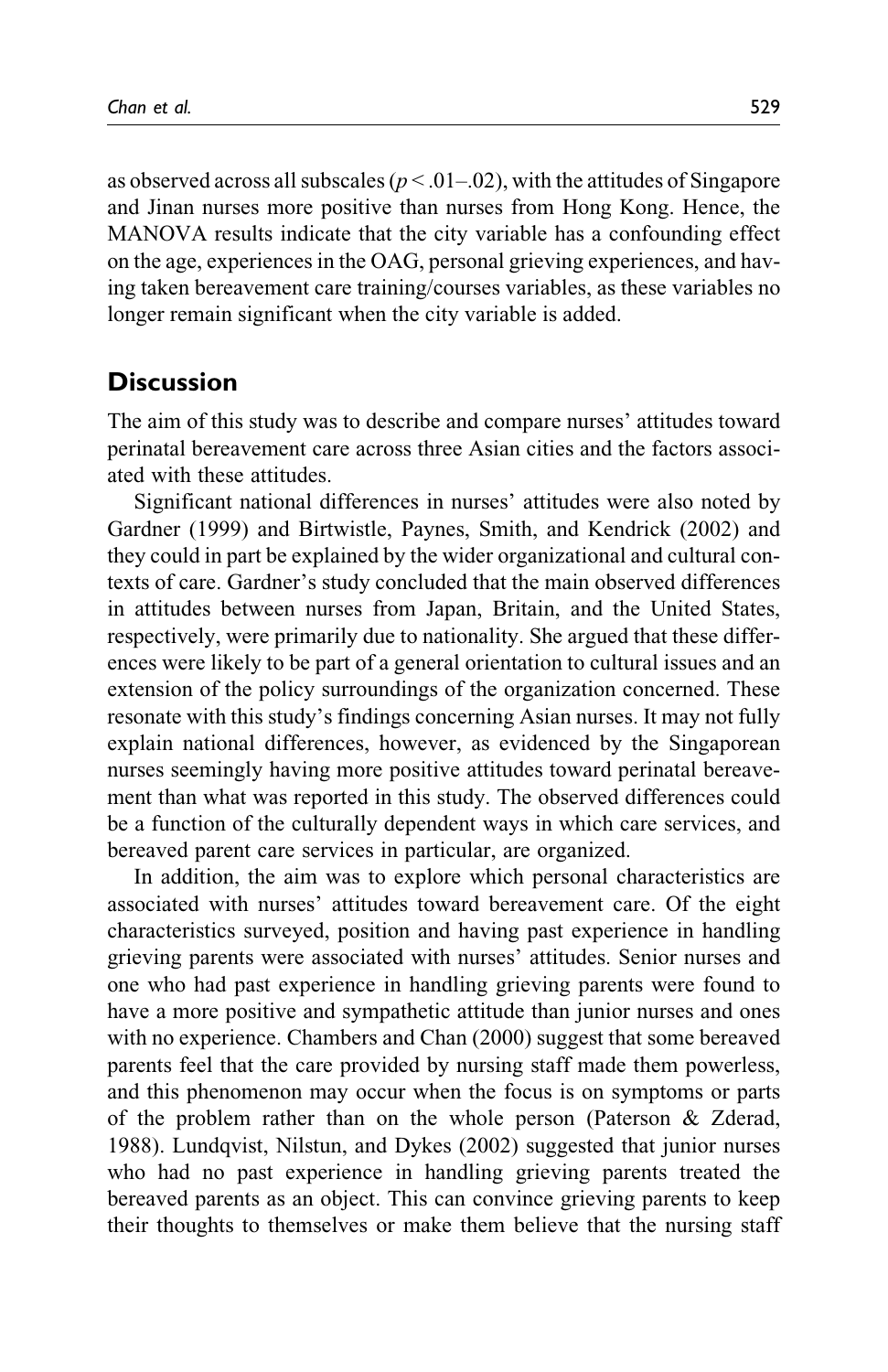as observed across all subscales ( $p < .01-.02$ ), with the attitudes of Singapore and Jinan nurses more positive than nurses from Hong Kong. Hence, the MANOVA results indicate that the city variable has a confounding effect on the age, experiences in the OAG, personal grieving experiences, and having taken bereavement care training/courses variables, as these variables no longer remain significant when the city variable is added.

### **Discussion**

The aim of this study was to describe and compare nurses' attitudes toward perinatal bereavement care across three Asian cities and the factors associated with these attitudes.

Significant national differences in nurses' attitudes were also noted by Gardner (1999) and Birtwistle, Paynes, Smith, and Kendrick (2002) and they could in part be explained by the wider organizational and cultural contexts of care. Gardner's study concluded that the main observed differences in attitudes between nurses from Japan, Britain, and the United States, respectively, were primarily due to nationality. She argued that these differences were likely to be part of a general orientation to cultural issues and an extension of the policy surroundings of the organization concerned. These resonate with this study's findings concerning Asian nurses. It may not fully explain national differences, however, as evidenced by the Singaporean nurses seemingly having more positive attitudes toward perinatal bereavement than what was reported in this study. The observed differences could be a function of the culturally dependent ways in which care services, and bereaved parent care services in particular, are organized.

In addition, the aim was to explore which personal characteristics are associated with nurses' attitudes toward bereavement care. Of the eight characteristics surveyed, position and having past experience in handling grieving parents were associated with nurses' attitudes. Senior nurses and one who had past experience in handling grieving parents were found to have a more positive and sympathetic attitude than junior nurses and ones with no experience. Chambers and Chan (2000) suggest that some bereaved parents feel that the care provided by nursing staff made them powerless, and this phenomenon may occur when the focus is on symptoms or parts of the problem rather than on the whole person (Paterson & Zderad, 1988). Lundqvist, Nilstun, and Dykes (2002) suggested that junior nurses who had no past experience in handling grieving parents treated the bereaved parents as an object. This can convince grieving parents to keep their thoughts to themselves or make them believe that the nursing staff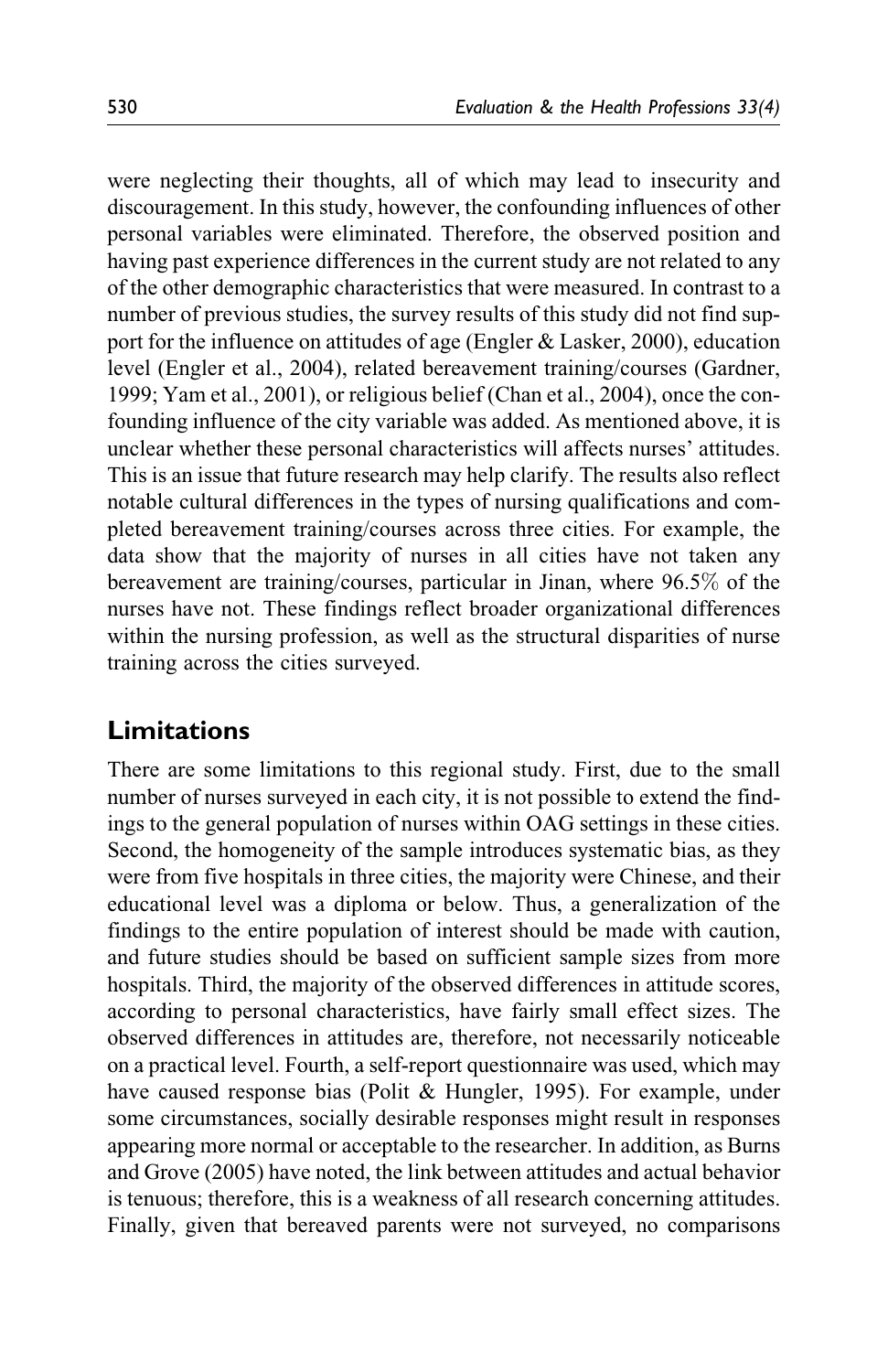were neglecting their thoughts, all of which may lead to insecurity and discouragement. In this study, however, the confounding influences of other personal variables were eliminated. Therefore, the observed position and having past experience differences in the current study are not related to any of the other demographic characteristics that were measured. In contrast to a number of previous studies, the survey results of this study did not find support for the influence on attitudes of age (Engler & Lasker, 2000), education level (Engler et al., 2004), related bereavement training/courses (Gardner, 1999; Yam et al., 2001), or religious belief (Chan et al., 2004), once the confounding influence of the city variable was added. As mentioned above, it is unclear whether these personal characteristics will affects nurses' attitudes. This is an issue that future research may help clarify. The results also reflect notable cultural differences in the types of nursing qualifications and completed bereavement training/courses across three cities. For example, the data show that the majority of nurses in all cities have not taken any bereavement are training/courses, particular in Jinan, where 96.5% of the nurses have not. These findings reflect broader organizational differences within the nursing profession, as well as the structural disparities of nurse training across the cities surveyed.

### Limitations

There are some limitations to this regional study. First, due to the small number of nurses surveyed in each city, it is not possible to extend the findings to the general population of nurses within OAG settings in these cities. Second, the homogeneity of the sample introduces systematic bias, as they were from five hospitals in three cities, the majority were Chinese, and their educational level was a diploma or below. Thus, a generalization of the findings to the entire population of interest should be made with caution, and future studies should be based on sufficient sample sizes from more hospitals. Third, the majority of the observed differences in attitude scores, according to personal characteristics, have fairly small effect sizes. The observed differences in attitudes are, therefore, not necessarily noticeable on a practical level. Fourth, a self-report questionnaire was used, which may have caused response bias (Polit & Hungler, 1995). For example, under some circumstances, socially desirable responses might result in responses appearing more normal or acceptable to the researcher. In addition, as Burns and Grove (2005) have noted, the link between attitudes and actual behavior is tenuous; therefore, this is a weakness of all research concerning attitudes. Finally, given that bereaved parents were not surveyed, no comparisons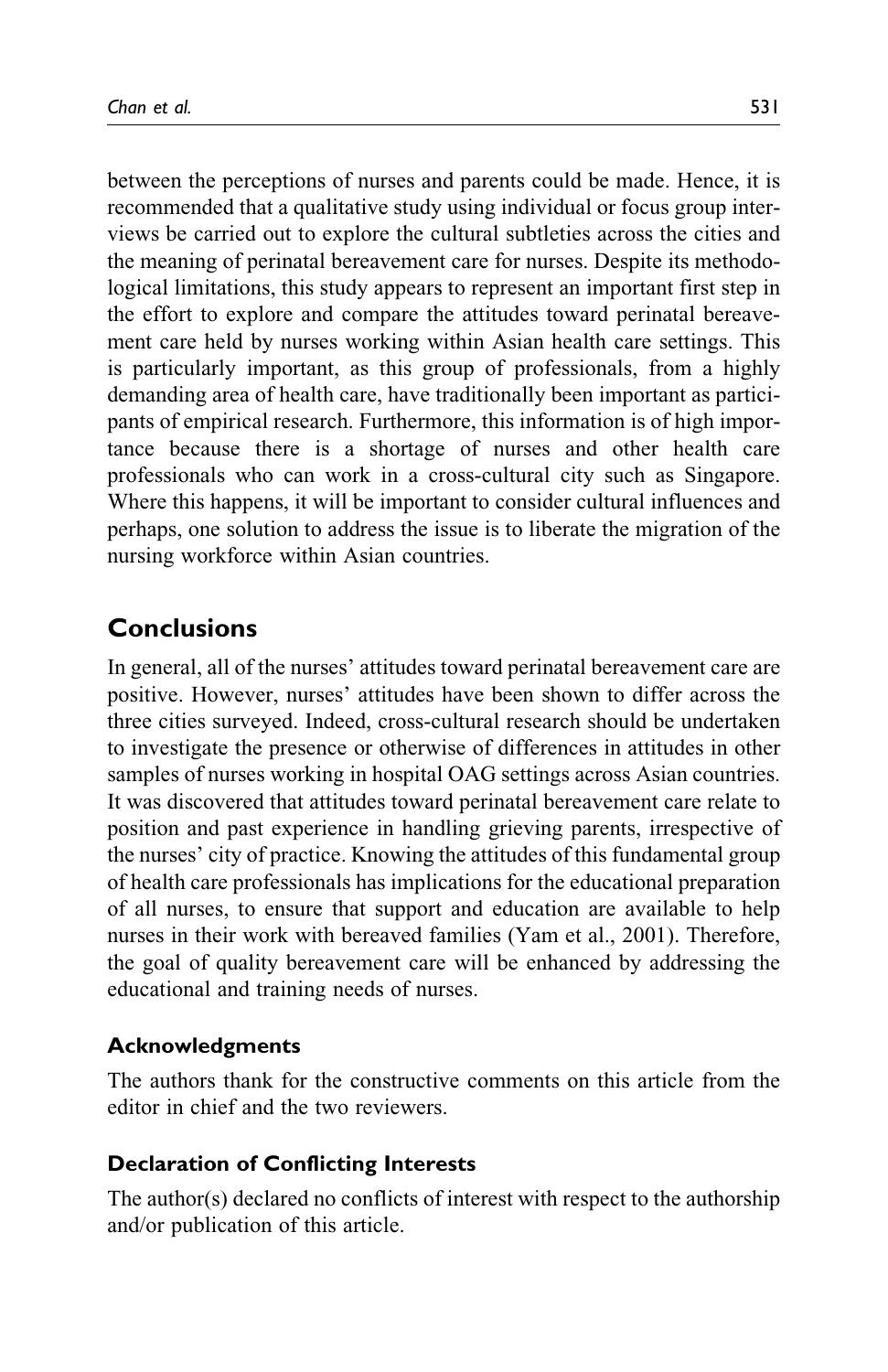between the perceptions of nurses and parents could be made. Hence, it is recommended that a qualitative study using individual or focus group interviews be carried out to explore the cultural subtleties across the cities and the meaning of perinatal bereavement care for nurses. Despite its methodological limitations, this study appears to represent an important first step in the effort to explore and compare the attitudes toward perinatal bereavement care held by nurses working within Asian health care settings. This is particularly important, as this group of professionals, from a highly demanding area of health care, have traditionally been important as participants of empirical research. Furthermore, this information is of high importance because there is a shortage of nurses and other health care professionals who can work in a cross-cultural city such as Singapore. Where this happens, it will be important to consider cultural influences and perhaps, one solution to address the issue is to liberate the migration of the nursing workforce within Asian countries.

### **Conclusions**

In general, all of the nurses' attitudes toward perinatal bereavement care are positive. However, nurses' attitudes have been shown to differ across the three cities surveyed. Indeed, cross-cultural research should be undertaken to investigate the presence or otherwise of differences in attitudes in other samples of nurses working in hospital OAG settings across Asian countries. It was discovered that attitudes toward perinatal bereavement care relate to position and past experience in handling grieving parents, irrespective of the nurses' city of practice. Knowing the attitudes of this fundamental group of health care professionals has implications for the educational preparation of all nurses, to ensure that support and education are available to help nurses in their work with bereaved families (Yam et al., 2001). Therefore, the goal of quality bereavement care will be enhanced by addressing the educational and training needs of nurses.

### Acknowledgments

The authors thank for the constructive comments on this article from the editor in chief and the two reviewers.

### Declaration of Conflicting Interests

The author(s) declared no conflicts of interest with respect to the authorship and/or publication of this article.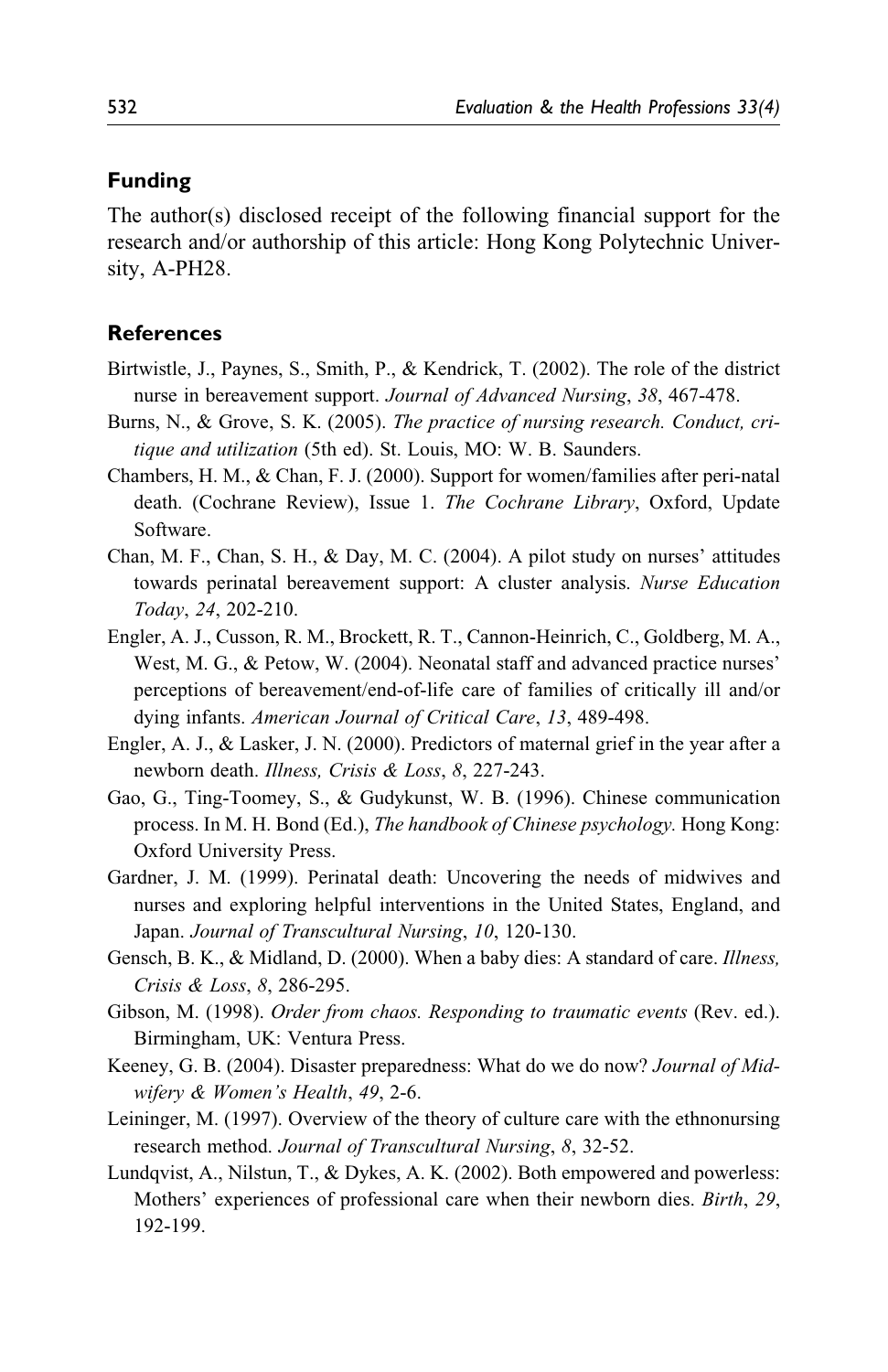#### Funding

The author(s) disclosed receipt of the following financial support for the research and/or authorship of this article: Hong Kong Polytechnic University, A-PH28.

#### References

- Birtwistle, J., Paynes, S., Smith, P., & Kendrick, T. (2002). The role of the district nurse in bereavement support. Journal of Advanced Nursing, 38, 467-478.
- Burns, N., & Grove, S. K. (2005). The practice of nursing research. Conduct, critique and utilization (5th ed). St. Louis, MO: W. B. Saunders.
- Chambers, H. M., & Chan, F. J. (2000). Support for women/families after peri-natal death. (Cochrane Review), Issue 1. The Cochrane Library, Oxford, Update Software.
- Chan, M. F., Chan, S. H., & Day, M. C. (2004). A pilot study on nurses' attitudes towards perinatal bereavement support: A cluster analysis. Nurse Education Today, 24, 202-210.
- Engler, A. J., Cusson, R. M., Brockett, R. T., Cannon-Heinrich, C., Goldberg, M. A., West, M. G., & Petow, W. (2004). Neonatal staff and advanced practice nurses' perceptions of bereavement/end-of-life care of families of critically ill and/or dying infants. American Journal of Critical Care, 13, 489-498.
- Engler, A. J., & Lasker, J. N. (2000). Predictors of maternal grief in the year after a newborn death. Illness, Crisis & Loss, 8, 227-243.
- Gao, G., Ting-Toomey, S., & Gudykunst, W. B. (1996). Chinese communication process. In M. H. Bond (Ed.), The handbook of Chinese psychology. Hong Kong: Oxford University Press.
- Gardner, J. M. (1999). Perinatal death: Uncovering the needs of midwives and nurses and exploring helpful interventions in the United States, England, and Japan. Journal of Transcultural Nursing, 10, 120-130.
- Gensch, B. K., & Midland, D. (2000). When a baby dies: A standard of care. *Illness*, Crisis & Loss, 8, 286-295.
- Gibson, M. (1998). Order from chaos. Responding to traumatic events (Rev. ed.). Birmingham, UK: Ventura Press.
- Keeney, G. B. (2004). Disaster preparedness: What do we do now? Journal of Midwifery & Women's Health, 49, 2-6.
- Leininger, M. (1997). Overview of the theory of culture care with the ethnonursing research method. Journal of Transcultural Nursing, 8, 32-52.
- Lundqvist, A., Nilstun, T., & Dykes, A. K. (2002). Both empowered and powerless: Mothers' experiences of professional care when their newborn dies. Birth, 29, 192-199.